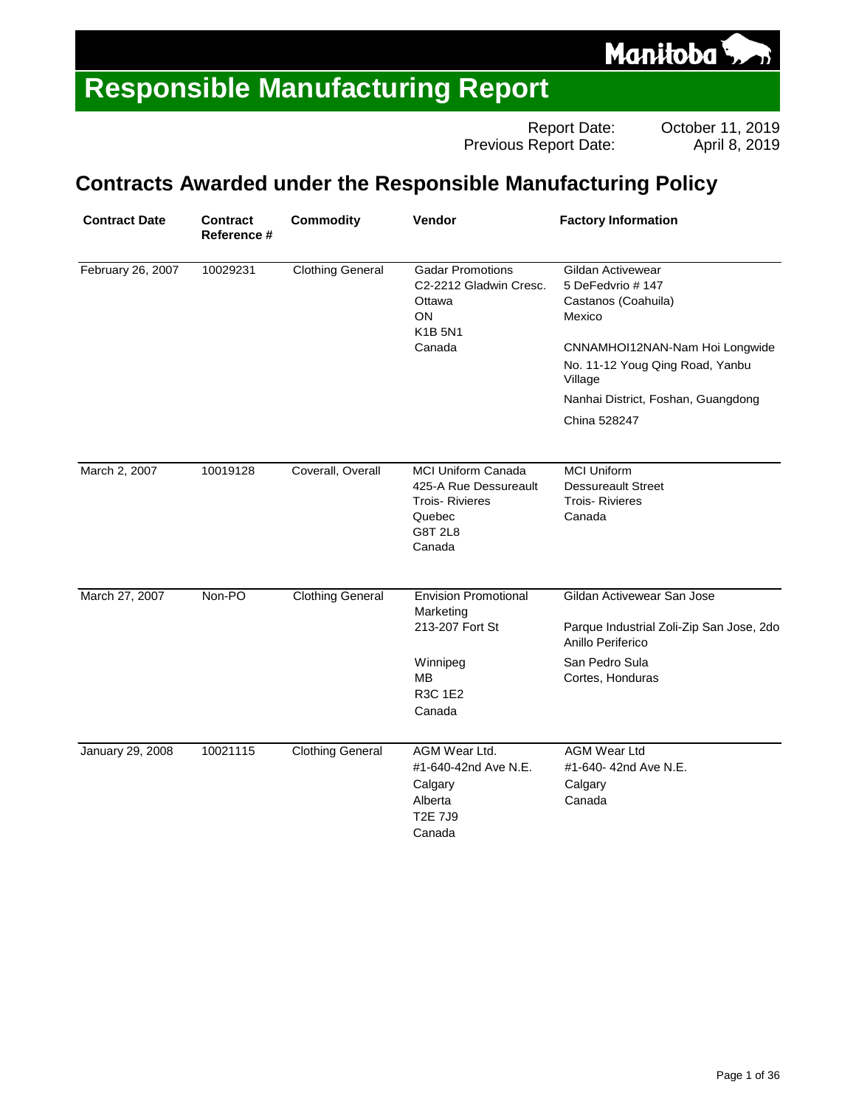

Report Date: Cortober 11, 2019<br>Report Date: April 8, 2019 Previous Report Date:

#### **Contracts Awarded under the Responsible Manufacturing Policy**

| <b>Contract Date</b>    | <b>Contract</b><br>Reference # | <b>Commodity</b>        | Vendor                                                                                                            | <b>Factory Information</b>                                                                                                                                                                    |
|-------------------------|--------------------------------|-------------------------|-------------------------------------------------------------------------------------------------------------------|-----------------------------------------------------------------------------------------------------------------------------------------------------------------------------------------------|
| February 26, 2007       | 10029231                       | <b>Clothing General</b> | <b>Gadar Promotions</b><br>C2-2212 Gladwin Cresc.<br>Ottawa<br><b>ON</b><br><b>K1B 5N1</b><br>Canada              | Gildan Activewear<br>5 DeFedvrio # 147<br>Castanos (Coahuila)<br>Mexico<br>CNNAMHOI12NAN-Nam Hoi Longwide<br>No. 11-12 Youg Qing Road, Yanbu<br>Village<br>Nanhai District, Foshan, Guangdong |
|                         |                                |                         |                                                                                                                   | China 528247                                                                                                                                                                                  |
| March 2, 2007           | 10019128                       | Coverall, Overall       | <b>MCI Uniform Canada</b><br>425-A Rue Dessureault<br><b>Trois-Rivieres</b><br>Quebec<br><b>G8T 2L8</b><br>Canada | <b>MCI Uniform</b><br><b>Dessureault Street</b><br><b>Trois-Rivieres</b><br>Canada                                                                                                            |
| March 27, 2007          | Non-PO                         | <b>Clothing General</b> | <b>Envision Promotional</b><br>Marketing<br>213-207 Fort St                                                       | Gildan Activewear San Jose<br>Parque Industrial Zoli-Zip San Jose, 2do<br>Anillo Periferico                                                                                                   |
|                         |                                |                         | Winnipeg<br>MВ<br>R3C 1E2<br>Canada                                                                               | San Pedro Sula<br>Cortes, Honduras                                                                                                                                                            |
| <b>January 29, 2008</b> | 10021115                       | <b>Clothing General</b> | AGM Wear Ltd.<br>#1-640-42nd Ave N.E.<br>Calgary<br>Alberta<br><b>T2E 7J9</b><br>Canada                           | <b>AGM Wear Ltd</b><br>#1-640- 42nd Ave N.E.<br>Calgary<br>Canada                                                                                                                             |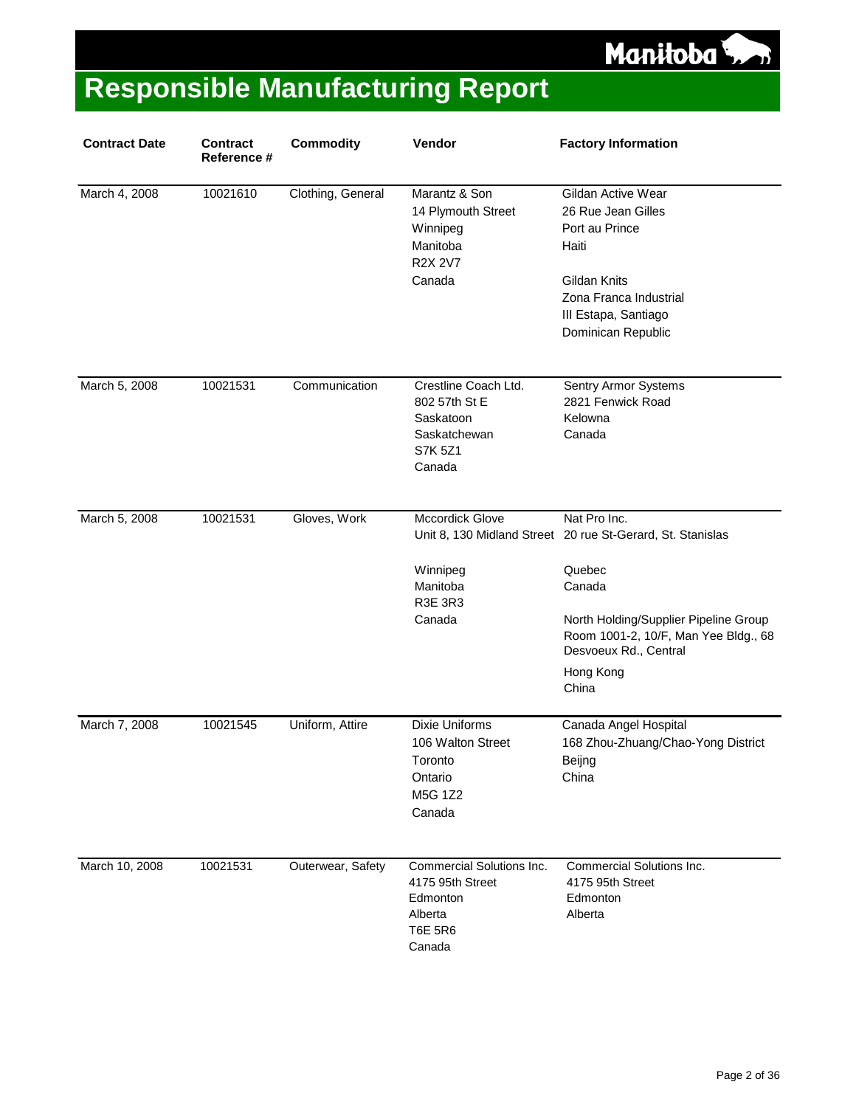Manitoba<sup>5</sup>

| <b>Contract Date</b> | <b>Contract</b><br>Reference # | <b>Commodity</b>  | Vendor                                                                                           | <b>Factory Information</b>                                                                                                                                                                                                     |
|----------------------|--------------------------------|-------------------|--------------------------------------------------------------------------------------------------|--------------------------------------------------------------------------------------------------------------------------------------------------------------------------------------------------------------------------------|
| March 4, 2008        | 10021610                       | Clothing, General | Marantz & Son<br>14 Plymouth Street<br>Winnipeg<br>Manitoba<br><b>R2X 2V7</b><br>Canada          | Gildan Active Wear<br>26 Rue Jean Gilles<br>Port au Prince<br>Haiti<br>Gildan Knits<br>Zona Franca Industrial<br>III Estapa, Santiago<br>Dominican Republic                                                                    |
| March 5, 2008        | 10021531                       | Communication     | Crestline Coach Ltd.<br>802 57th St E<br>Saskatoon<br>Saskatchewan<br>S7K 5Z1<br>Canada          | Sentry Armor Systems<br>2821 Fenwick Road<br>Kelowna<br>Canada                                                                                                                                                                 |
| March 5, 2008        | 10021531                       | Gloves, Work      | Mccordick Glove<br>Winnipeg<br>Manitoba<br><b>R3E 3R3</b><br>Canada                              | Nat Pro Inc.<br>Unit 8, 130 Midland Street 20 rue St-Gerard, St. Stanislas<br>Quebec<br>Canada<br>North Holding/Supplier Pipeline Group<br>Room 1001-2, 10/F, Man Yee Bldg., 68<br>Desvoeux Rd., Central<br>Hong Kong<br>China |
| March 7, 2008        | 10021545                       | Uniform, Attire   | <b>Dixie Uniforms</b><br>106 Walton Street<br>Toronto<br>Ontario<br>M5G 1Z2<br>Canada            | Canada Angel Hospital<br>168 Zhou-Zhuang/Chao-Yong District<br>Beijng<br>China                                                                                                                                                 |
| March 10, 2008       | 10021531                       | Outerwear, Safety | Commercial Solutions Inc.<br>4175 95th Street<br>Edmonton<br>Alberta<br><b>T6E 5R6</b><br>Canada | Commercial Solutions Inc.<br>4175 95th Street<br>Edmonton<br>Alberta                                                                                                                                                           |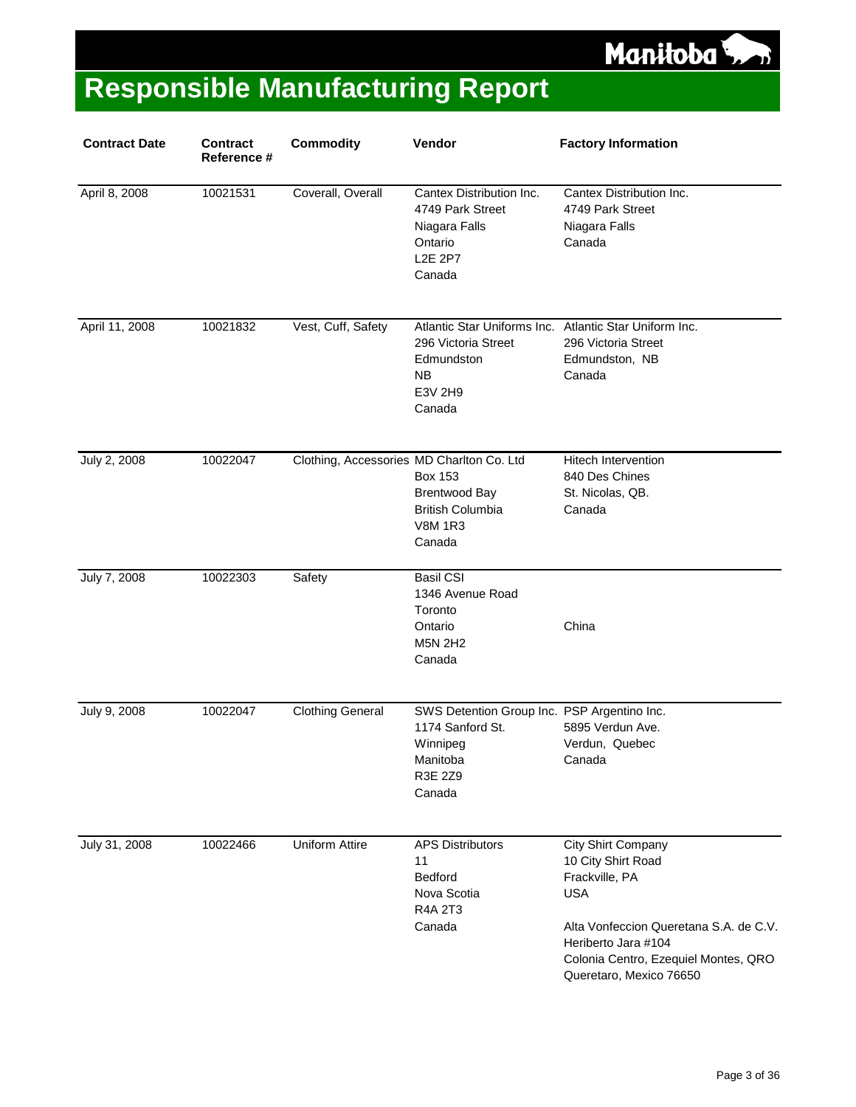

| <b>Contract Date</b> | <b>Contract</b><br>Reference # | <b>Commodity</b>                          | Vendor                                                                                                                        | <b>Factory Information</b>                                                                                                                                                                                   |
|----------------------|--------------------------------|-------------------------------------------|-------------------------------------------------------------------------------------------------------------------------------|--------------------------------------------------------------------------------------------------------------------------------------------------------------------------------------------------------------|
| April 8, 2008        | 10021531                       | Coverall, Overall                         | Cantex Distribution Inc.<br>4749 Park Street<br>Niagara Falls<br>Ontario<br><b>L2E 2P7</b><br>Canada                          | Cantex Distribution Inc.<br>4749 Park Street<br>Niagara Falls<br>Canada                                                                                                                                      |
| April 11, 2008       | 10021832                       | Vest, Cuff, Safety                        | Atlantic Star Uniforms Inc. Atlantic Star Uniform Inc.<br>296 Victoria Street<br>Edmundston<br><b>NB</b><br>E3V 2H9<br>Canada | 296 Victoria Street<br>Edmundston, NB<br>Canada                                                                                                                                                              |
| July 2, 2008         | 10022047                       | Clothing, Accessories MD Charlton Co. Ltd | <b>Box 153</b><br><b>Brentwood Bay</b><br><b>British Columbia</b><br><b>V8M 1R3</b><br>Canada                                 | <b>Hitech Intervention</b><br>840 Des Chines<br>St. Nicolas, QB.<br>Canada                                                                                                                                   |
| July 7, 2008         | 10022303                       | Safety                                    | <b>Basil CSI</b><br>1346 Avenue Road<br>Toronto<br>Ontario<br><b>M5N 2H2</b><br>Canada                                        | China                                                                                                                                                                                                        |
| July 9, 2008         | 10022047                       | <b>Clothing General</b>                   | SWS Detention Group Inc. PSP Argentino Inc.<br>1174 Sanford St.<br>Winnipeg<br>Manitoba<br>R3E 2Z9<br>Canada                  | 5895 Verdun Ave.<br>Verdun, Quebec<br>Canada                                                                                                                                                                 |
| July 31, 2008        | 10022466                       | <b>Uniform Attire</b>                     | <b>APS Distributors</b><br>11<br><b>Bedford</b><br>Nova Scotia<br>R4A 2T3<br>Canada                                           | City Shirt Company<br>10 City Shirt Road<br>Frackville, PA<br><b>USA</b><br>Alta Vonfeccion Queretana S.A. de C.V.<br>Heriberto Jara #104<br>Colonia Centro, Ezequiel Montes, QRO<br>Queretaro, Mexico 76650 |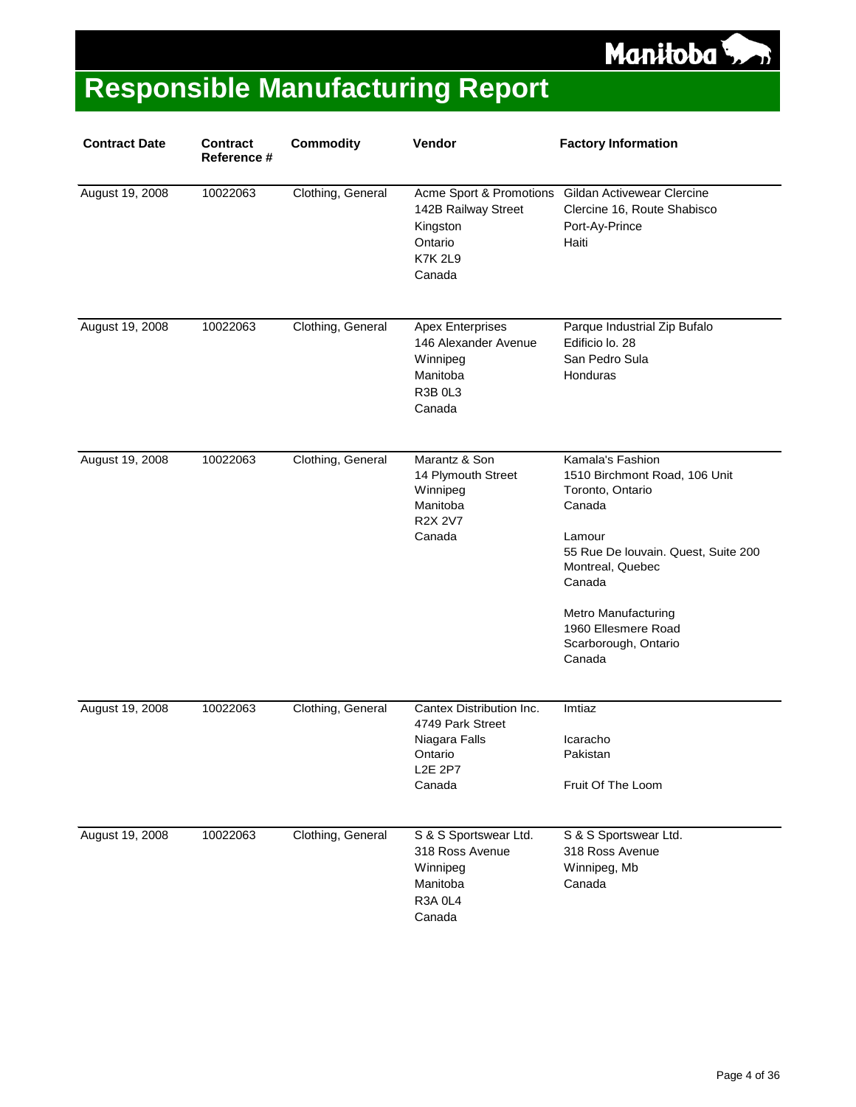

| <b>Contract Date</b> | <b>Contract</b><br>Reference # | <b>Commodity</b>  | Vendor                                                                                                  | <b>Factory Information</b>                                                                                                                                                                                                                     |
|----------------------|--------------------------------|-------------------|---------------------------------------------------------------------------------------------------------|------------------------------------------------------------------------------------------------------------------------------------------------------------------------------------------------------------------------------------------------|
| August 19, 2008      | 10022063                       | Clothing, General | Acme Sport & Promotions<br>142B Railway Street<br>Kingston<br>Ontario<br><b>K7K 2L9</b><br>Canada       | Gildan Activewear Clercine<br>Clercine 16, Route Shabisco<br>Port-Ay-Prince<br>Haiti                                                                                                                                                           |
| August 19, 2008      | 10022063                       | Clothing, General | <b>Apex Enterprises</b><br>146 Alexander Avenue<br>Winnipeg<br>Manitoba<br>R3B <sub>0L3</sub><br>Canada | Parque Industrial Zip Bufalo<br>Edificio lo. 28<br>San Pedro Sula<br>Honduras                                                                                                                                                                  |
| August 19, 2008      | 10022063                       | Clothing, General | Marantz & Son<br>14 Plymouth Street<br>Winnipeg<br>Manitoba<br><b>R2X 2V7</b><br>Canada                 | Kamala's Fashion<br>1510 Birchmont Road, 106 Unit<br>Toronto, Ontario<br>Canada<br>Lamour<br>55 Rue De Iouvain. Quest, Suite 200<br>Montreal, Quebec<br>Canada<br>Metro Manufacturing<br>1960 Ellesmere Road<br>Scarborough, Ontario<br>Canada |
| August 19, 2008      | 10022063                       | Clothing, General | Cantex Distribution Inc.<br>4749 Park Street<br>Niagara Falls<br>Ontario<br><b>L2E 2P7</b><br>Canada    | Imtiaz<br>Icaracho<br>Pakistan<br>Fruit Of The Loom                                                                                                                                                                                            |
| August 19, 2008      | 10022063                       | Clothing, General | S & S Sportswear Ltd.<br>318 Ross Avenue<br>Winnipeg<br>Manitoba<br><b>R3A 0L4</b><br>Canada            | S & S Sportswear Ltd.<br>318 Ross Avenue<br>Winnipeg, Mb<br>Canada                                                                                                                                                                             |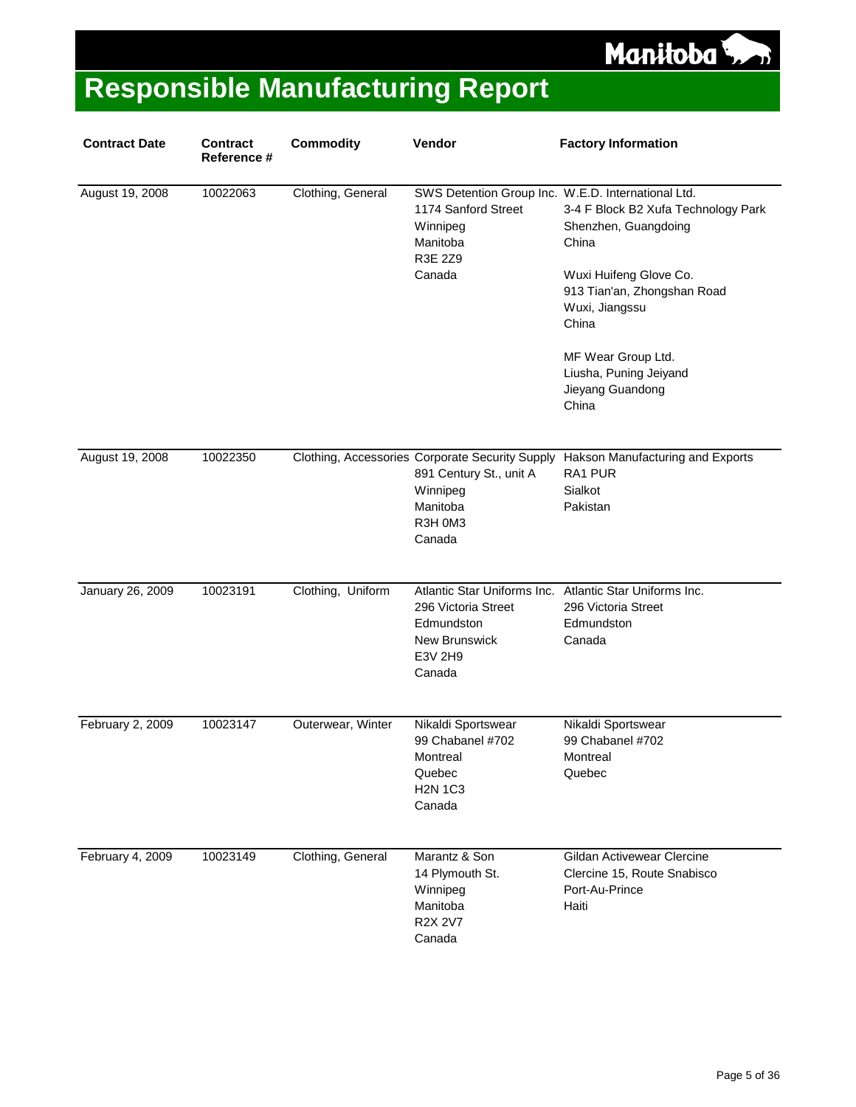

| <b>Contract Date</b> | <b>Contract</b><br>Reference # | <b>Commodity</b>  | Vendor                                                                                                                  | <b>Factory Information</b>                                                                                                                               |
|----------------------|--------------------------------|-------------------|-------------------------------------------------------------------------------------------------------------------------|----------------------------------------------------------------------------------------------------------------------------------------------------------|
| August 19, 2008      | 10022063                       | Clothing, General | SWS Detention Group Inc. W.E.D. International Ltd.<br>1174 Sanford Street<br>Winnipeg<br>Manitoba<br>R3E 2Z9<br>Canada  | 3-4 F Block B2 Xufa Technology Park<br>Shenzhen, Guangdoing<br>China<br>Wuxi Huifeng Glove Co.<br>913 Tian'an, Zhongshan Road<br>Wuxi, Jiangssu<br>China |
|                      |                                |                   |                                                                                                                         | MF Wear Group Ltd.<br>Liusha, Puning Jeiyand<br>Jieyang Guandong<br>China                                                                                |
| August 19, 2008      | 10022350                       |                   | Clothing, Accessories Corporate Security Supply<br>891 Century St., unit A<br>Winnipeg<br>Manitoba<br>R3H 0M3<br>Canada | Hakson Manufacturing and Exports<br>RA1 PUR<br>Sialkot<br>Pakistan                                                                                       |
| January 26, 2009     | 10023191                       | Clothing, Uniform | 296 Victoria Street<br>Edmundston<br><b>New Brunswick</b><br>E3V 2H9<br>Canada                                          | Atlantic Star Uniforms Inc. Atlantic Star Uniforms Inc.<br>296 Victoria Street<br>Edmundston<br>Canada                                                   |
| February 2, 2009     | 10023147                       | Outerwear, Winter | Nikaldi Sportswear<br>99 Chabanel #702<br>Montreal<br>Quebec<br><b>H2N 1C3</b><br>Canada                                | Nikaldi Sportswear<br>99 Chabanel #702<br>Montreal<br>Quebec                                                                                             |
| February 4, 2009     | 10023149                       | Clothing, General | Marantz & Son<br>14 Plymouth St.<br>Winnipeg<br>Manitoba<br><b>R2X 2V7</b><br>Canada                                    | Gildan Activewear Clercine<br>Clercine 15, Route Snabisco<br>Port-Au-Prince<br>Haiti                                                                     |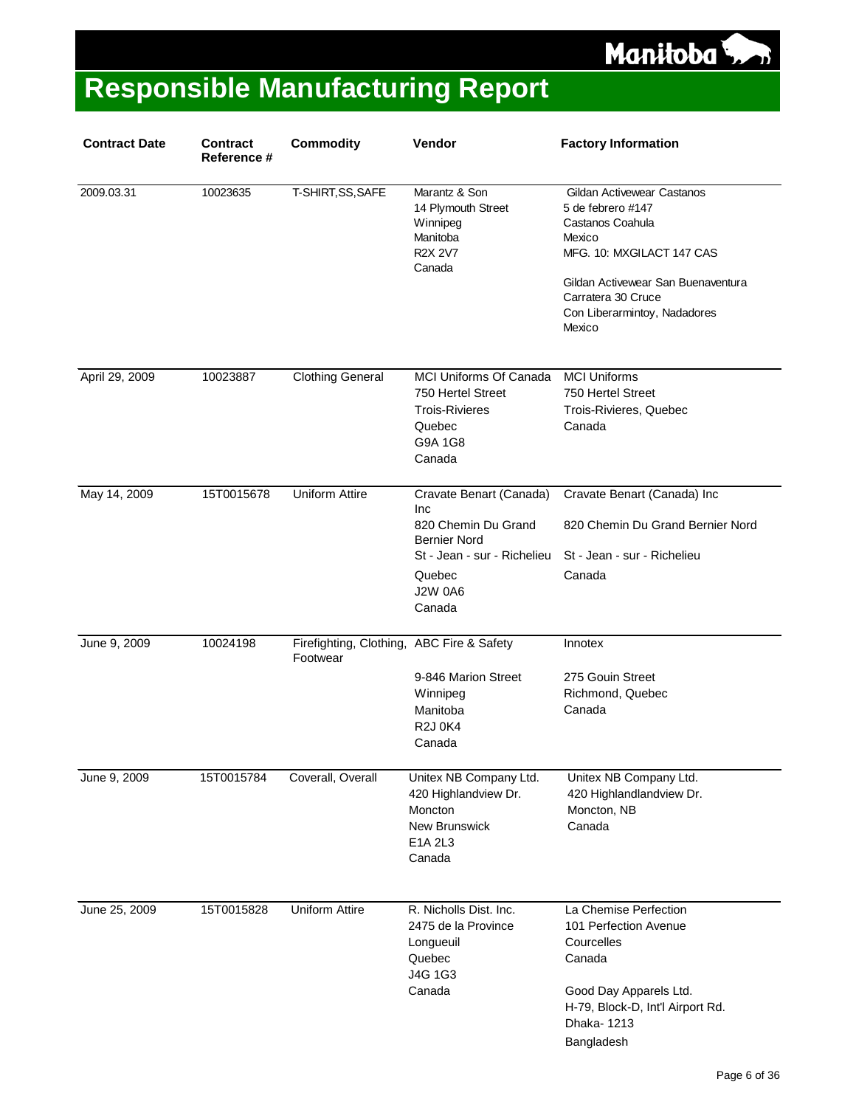

| <b>Contract Date</b> | <b>Contract</b><br>Reference # | <b>Commodity</b>                                      | Vendor                                                                                                                                            | <b>Factory Information</b>                                                                                                                                                                                       |
|----------------------|--------------------------------|-------------------------------------------------------|---------------------------------------------------------------------------------------------------------------------------------------------------|------------------------------------------------------------------------------------------------------------------------------------------------------------------------------------------------------------------|
| 2009.03.31           | 10023635                       | T-SHIRT, SS, SAFE                                     | Marantz & Son<br>14 Plymouth Street<br>Winnipeg<br>Manitoba<br><b>R2X 2V7</b><br>Canada                                                           | Gildan Activewear Castanos<br>5 de febrero #147<br>Castanos Coahula<br>Mexico<br>MFG. 10: MXGILACT 147 CAS<br>Gildan Activewear San Buenaventura<br>Carratera 30 Cruce<br>Con Liberarmintoy, Nadadores<br>Mexico |
| April 29, 2009       | 10023887                       | <b>Clothing General</b>                               | <b>MCI Uniforms Of Canada</b><br>750 Hertel Street<br><b>Trois-Rivieres</b><br>Quebec<br>G9A 1G8<br>Canada                                        | <b>MCI Uniforms</b><br>750 Hertel Street<br>Trois-Rivieres, Quebec<br>Canada                                                                                                                                     |
| May 14, 2009         | 15T0015678                     | <b>Uniform Attire</b>                                 | Cravate Benart (Canada)<br>Inc<br>820 Chemin Du Grand<br><b>Bernier Nord</b><br>St - Jean - sur - Richelieu<br>Quebec<br><b>J2W 0A6</b><br>Canada | Cravate Benart (Canada) Inc<br>820 Chemin Du Grand Bernier Nord<br>St - Jean - sur - Richelieu<br>Canada                                                                                                         |
| June 9, 2009         | 10024198                       | Firefighting, Clothing, ABC Fire & Safety<br>Footwear | 9-846 Marion Street<br>Winnipeg<br>Manitoba<br><b>R2J0K4</b><br>Canada                                                                            | Innotex<br>275 Gouin Street<br>Richmond, Quebec<br>Canada                                                                                                                                                        |
| June 9, 2009         | 15T0015784                     | Coverall, Overall                                     | Unitex NB Company Ltd.<br>420 Highlandview Dr.<br>Moncton<br>New Brunswick<br>E1A 2L3<br>Canada                                                   | Unitex NB Company Ltd.<br>420 Highlandlandview Dr.<br>Moncton, NB<br>Canada                                                                                                                                      |
| June 25, 2009        | 15T0015828                     | <b>Uniform Attire</b>                                 | R. Nicholls Dist. Inc.<br>2475 de la Province<br>Longueuil<br>Quebec<br>J4G 1G3<br>Canada                                                         | La Chemise Perfection<br>101 Perfection Avenue<br>Courcelles<br>Canada<br>Good Day Apparels Ltd.<br>H-79, Block-D, Int'l Airport Rd.<br>Dhaka-1213<br>Bangladesh                                                 |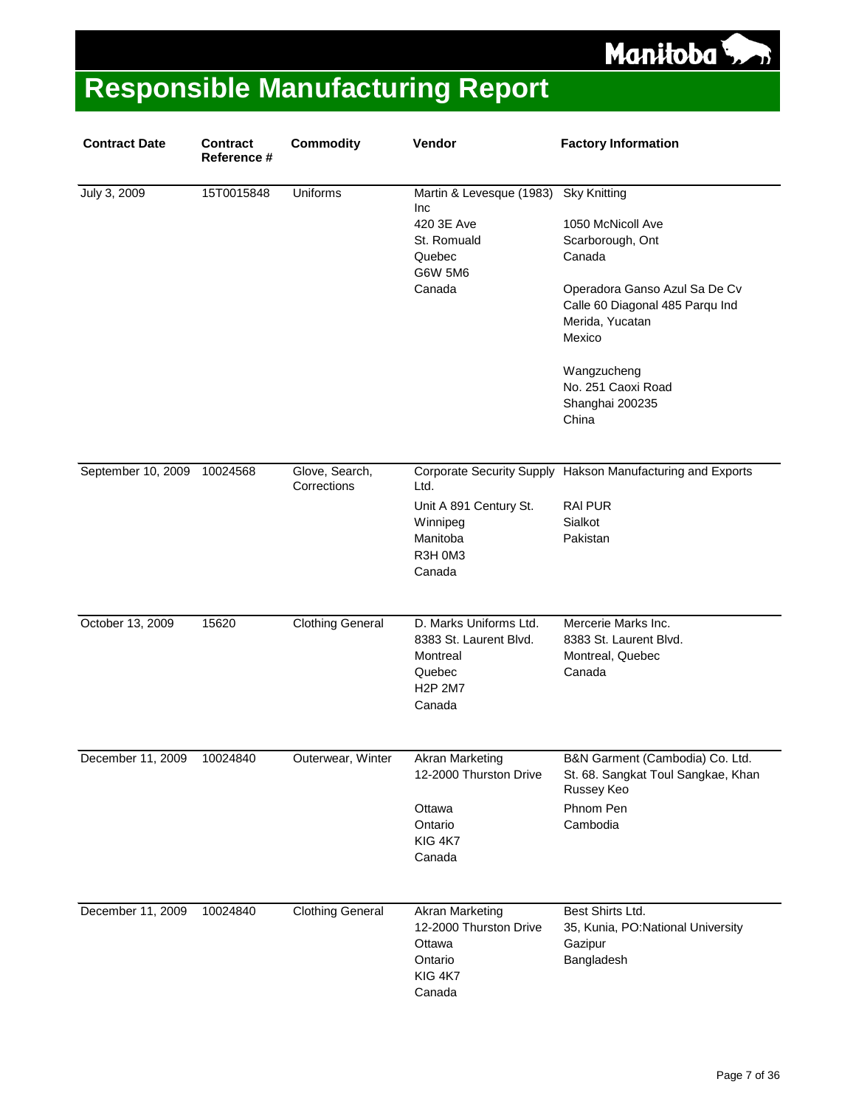Manitoba<sup>5</sup>

| <b>Contract Date</b>        | <b>Contract</b><br>Reference # | <b>Commodity</b>              | Vendor                                                                                                               | <b>Factory Information</b>                                                                                                                                                                                                               |
|-----------------------------|--------------------------------|-------------------------------|----------------------------------------------------------------------------------------------------------------------|------------------------------------------------------------------------------------------------------------------------------------------------------------------------------------------------------------------------------------------|
| July 3, 2009                | 15T0015848                     | <b>Uniforms</b>               | Martin & Levesque (1983)<br>Inc<br>420 3E Ave<br>St. Romuald<br>Quebec<br>G6W 5M6<br>Canada                          | <b>Sky Knitting</b><br>1050 McNicoll Ave<br>Scarborough, Ont<br>Canada<br>Operadora Ganso Azul Sa De Cv<br>Calle 60 Diagonal 485 Parqu Ind<br>Merida, Yucatan<br>Mexico<br>Wangzucheng<br>No. 251 Caoxi Road<br>Shanghai 200235<br>China |
| September 10, 2009 10024568 |                                | Glove, Search,<br>Corrections | Ltd.<br>Unit A 891 Century St.<br>Winnipeg<br>Manitoba<br>R3H 0M3<br>Canada                                          | Corporate Security Supply Hakson Manufacturing and Exports<br><b>RAI PUR</b><br>Sialkot<br>Pakistan                                                                                                                                      |
| October 13, 2009            | 15620                          | <b>Clothing General</b>       | D. Marks Uniforms Ltd.<br>8383 St. Laurent Blvd.<br>Montreal<br>Quebec<br>H <sub>2</sub> P 2M <sub>7</sub><br>Canada | Mercerie Marks Inc.<br>8383 St. Laurent Blvd.<br>Montreal, Quebec<br>Canada                                                                                                                                                              |
| December 11, 2009 10024840  |                                | Outerwear, Winter             | <b>Akran Marketing</b><br>12-2000 Thurston Drive<br>Ottawa<br>Ontario<br>KIG 4K7<br>Canada                           | B&N Garment (Cambodia) Co. Ltd.<br>St. 68. Sangkat Toul Sangkae, Khan<br>Russey Keo<br>Phnom Pen<br>Cambodia                                                                                                                             |
| December 11, 2009           | 10024840                       | <b>Clothing General</b>       | <b>Akran Marketing</b><br>12-2000 Thurston Drive<br>Ottawa<br>Ontario<br>KIG 4K7<br>Canada                           | Best Shirts Ltd.<br>35, Kunia, PO:National University<br>Gazipur<br>Bangladesh                                                                                                                                                           |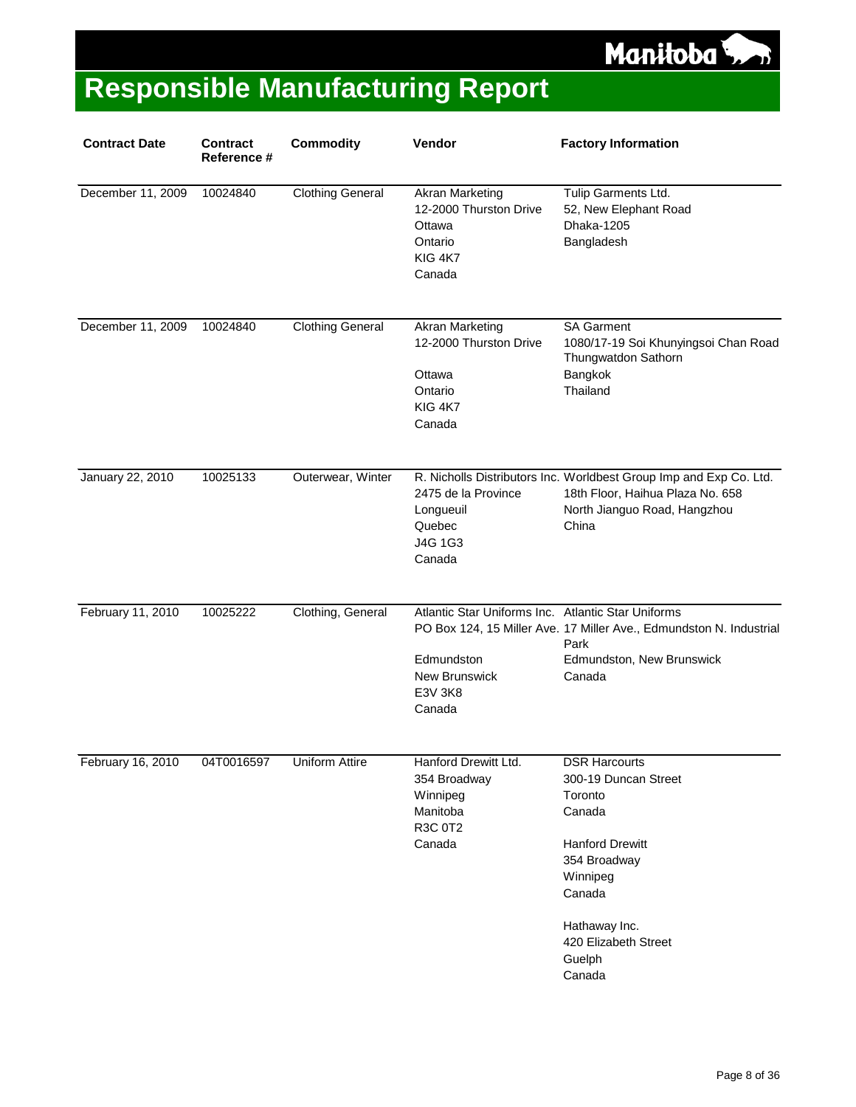

| <b>Contract Date</b> | <b>Contract</b><br>Reference # | <b>Commodity</b>        | Vendor                                                                                                        | <b>Factory Information</b>                                                                                                                                                                     |
|----------------------|--------------------------------|-------------------------|---------------------------------------------------------------------------------------------------------------|------------------------------------------------------------------------------------------------------------------------------------------------------------------------------------------------|
| December 11, 2009    | 10024840                       | <b>Clothing General</b> | Akran Marketing<br>12-2000 Thurston Drive<br>Ottawa<br>Ontario<br>KIG 4K7<br>Canada                           | Tulip Garments Ltd.<br>52, New Elephant Road<br>Dhaka-1205<br>Bangladesh                                                                                                                       |
| December 11, 2009    | 10024840                       | <b>Clothing General</b> | <b>Akran Marketing</b><br>12-2000 Thurston Drive<br>Ottawa<br>Ontario<br>KIG 4K7<br>Canada                    | <b>SA Garment</b><br>1080/17-19 Soi Khunyingsoi Chan Road<br>Thungwatdon Sathorn<br>Bangkok<br>Thailand                                                                                        |
| January 22, 2010     | 10025133                       | Outerwear, Winter       | 2475 de la Province<br>Longueuil<br>Quebec<br>J4G 1G3<br>Canada                                               | R. Nicholls Distributors Inc. Worldbest Group Imp and Exp Co. Ltd.<br>18th Floor, Haihua Plaza No. 658<br>North Jianguo Road, Hangzhou<br>China                                                |
| February 11, 2010    | 10025222                       | Clothing, General       | Atlantic Star Uniforms Inc. Atlantic Star Uniforms<br>Edmundston<br>New Brunswick<br><b>E3V 3K8</b><br>Canada | PO Box 124, 15 Miller Ave. 17 Miller Ave., Edmundston N. Industrial<br>Park<br>Edmundston, New Brunswick<br>Canada                                                                             |
| February 16, 2010    | 04T0016597                     | Uniform Attire          | Hanford Drewitt Ltd.<br>354 Broadway<br>Winnipeg<br>Manitoba<br>R3C 0T2<br>Canada                             | <b>DSR Harcourts</b><br>300-19 Duncan Street<br>Toronto<br>Canada<br><b>Hanford Drewitt</b><br>354 Broadway<br>Winnipeg<br>Canada<br>Hathaway Inc.<br>420 Elizabeth Street<br>Guelph<br>Canada |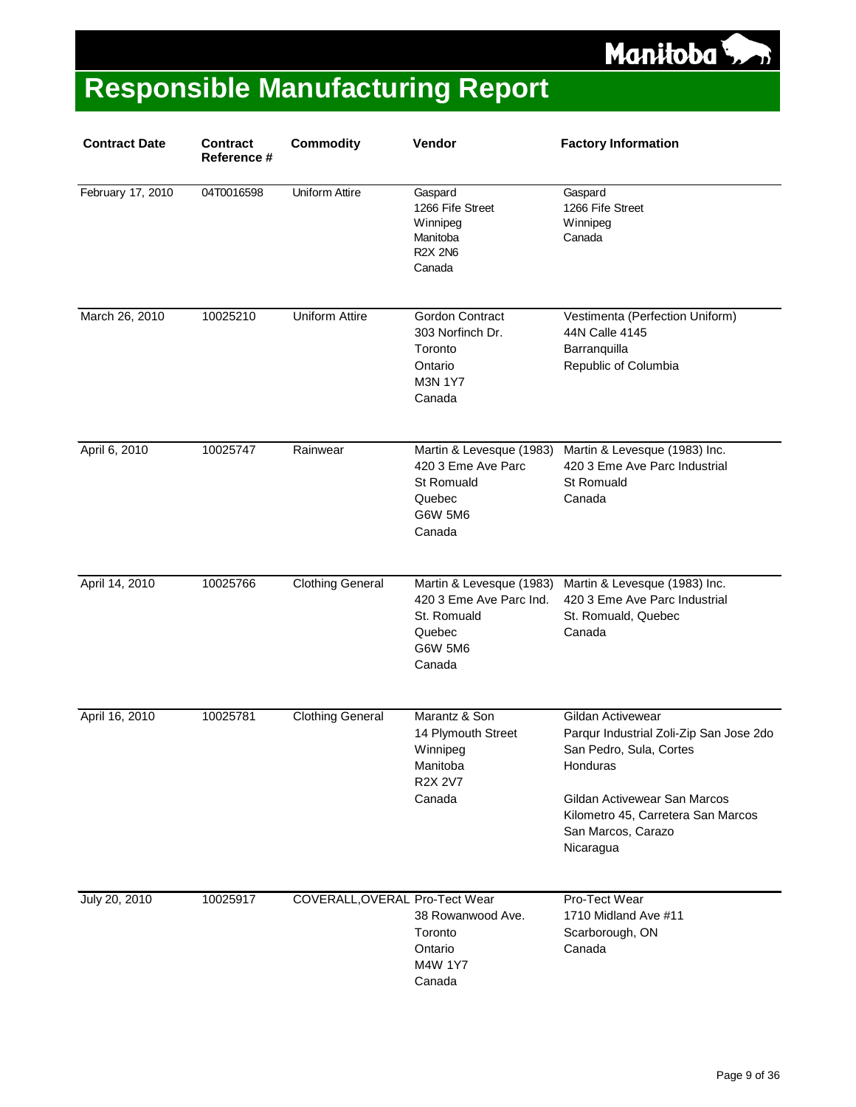

| <b>Contract Date</b> | <b>Contract</b><br>Reference # | <b>Commodity</b>               | Vendor                                                                                             | <b>Factory Information</b>                                                                                                                                                                                   |
|----------------------|--------------------------------|--------------------------------|----------------------------------------------------------------------------------------------------|--------------------------------------------------------------------------------------------------------------------------------------------------------------------------------------------------------------|
| February 17, 2010    | 04T0016598                     | Uniform Attire                 | Gaspard<br>1266 Fife Street<br>Winnipeg<br>Manitoba<br><b>R2X 2N6</b><br>Canada                    | Gaspard<br>1266 Fife Street<br>Winnipeg<br>Canada                                                                                                                                                            |
| March 26, 2010       | 10025210                       | <b>Uniform Attire</b>          | Gordon Contract<br>303 Norfinch Dr.<br>Toronto<br>Ontario<br><b>M3N 1Y7</b><br>Canada              | Vestimenta (Perfection Uniform)<br>44N Calle 4145<br>Barranquilla<br>Republic of Columbia                                                                                                                    |
| April 6, 2010        | 10025747                       | Rainwear                       | Martin & Levesque (1983)<br>420 3 Eme Ave Parc<br><b>St Romuald</b><br>Quebec<br>G6W 5M6<br>Canada | Martin & Levesque (1983) Inc.<br>420 3 Eme Ave Parc Industrial<br>St Romuald<br>Canada                                                                                                                       |
| April 14, 2010       | 10025766                       | <b>Clothing General</b>        | Martin & Levesque (1983)<br>420 3 Eme Ave Parc Ind.<br>St. Romuald<br>Quebec<br>G6W 5M6<br>Canada  | Martin & Levesque (1983) Inc.<br>420 3 Eme Ave Parc Industrial<br>St. Romuald, Quebec<br>Canada                                                                                                              |
| April 16, 2010       | 10025781                       | <b>Clothing General</b>        | Marantz & Son<br>14 Plymouth Street<br>Winnipeg<br>Manitoba<br><b>R2X 2V7</b><br>Canada            | Gildan Activewear<br>Parqur Industrial Zoli-Zip San Jose 2do<br>San Pedro, Sula, Cortes<br>Honduras<br>Gildan Activewear San Marcos<br>Kilometro 45, Carretera San Marcos<br>San Marcos, Carazo<br>Nicaragua |
| July 20, 2010        | 10025917                       | COVERALL, OVERAL Pro-Tect Wear | 38 Rowanwood Ave.<br>Toronto<br>Ontario<br>M4W 1Y7<br>Canada                                       | Pro-Tect Wear<br>1710 Midland Ave #11<br>Scarborough, ON<br>Canada                                                                                                                                           |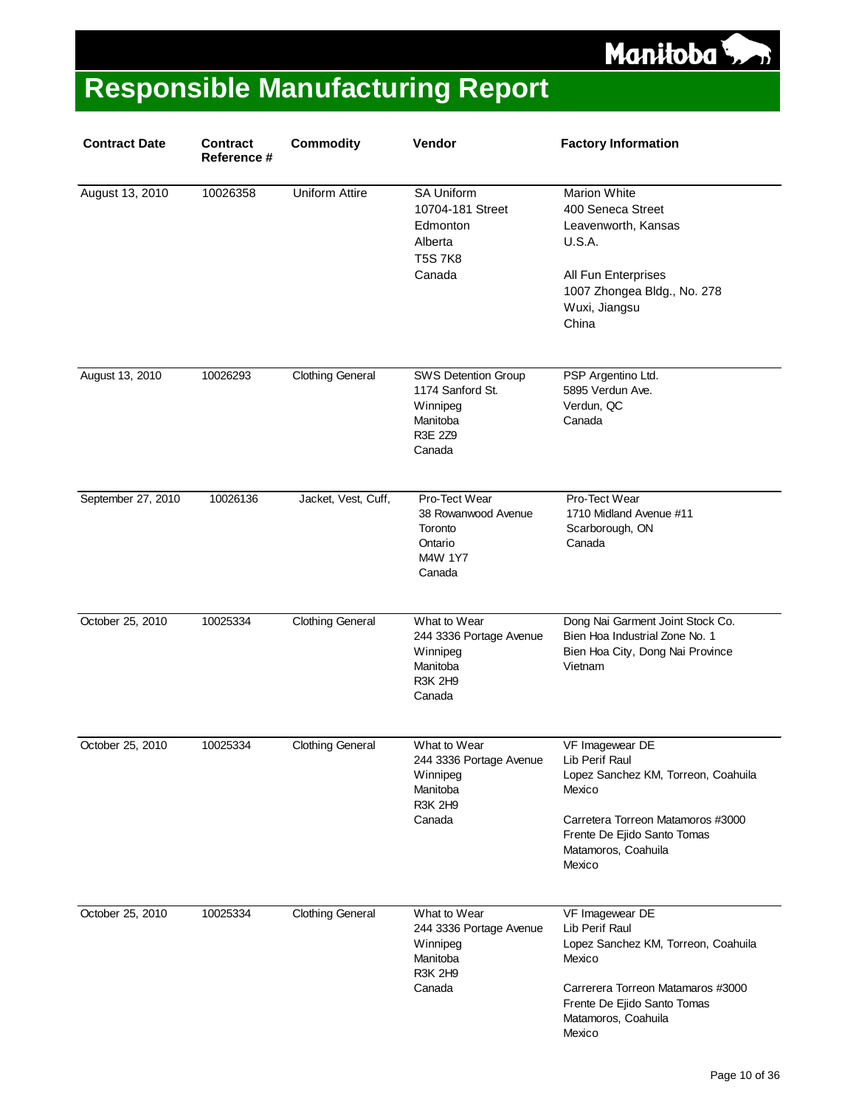#### Manitoba<sup>5</sup>

| <b>Contract Date</b> | <b>Contract</b><br>Reference # | <b>Commodity</b>        | Vendor                                                                                      | <b>Factory Information</b>                                                                                                                                                              |
|----------------------|--------------------------------|-------------------------|---------------------------------------------------------------------------------------------|-----------------------------------------------------------------------------------------------------------------------------------------------------------------------------------------|
| August 13, 2010      | 10026358                       | <b>Uniform Attire</b>   | <b>SA Uniform</b><br>10704-181 Street<br>Edmonton<br>Alberta<br><b>T5S7K8</b><br>Canada     | <b>Marion White</b><br>400 Seneca Street<br>Leavenworth, Kansas<br><b>U.S.A.</b><br>All Fun Enterprises<br>1007 Zhongea Bldg., No. 278<br>Wuxi, Jiangsu<br>China                        |
| August 13, 2010      | 10026293                       | <b>Clothing General</b> | <b>SWS Detention Group</b><br>1174 Sanford St.<br>Winnipeg<br>Manitoba<br>R3E 2Z9<br>Canada | PSP Argentino Ltd.<br>5895 Verdun Ave.<br>Verdun, QC<br>Canada                                                                                                                          |
| September 27, 2010   | 10026136                       | Jacket, Vest, Cuff,     | Pro-Tect Wear<br>38 Rowanwood Avenue<br>Toronto<br>Ontario<br>M4W 1Y7<br>Canada             | Pro-Tect Wear<br>1710 Midland Avenue #11<br>Scarborough, ON<br>Canada                                                                                                                   |
| October 25, 2010     | 10025334                       | <b>Clothing General</b> | What to Wear<br>244 3336 Portage Avenue<br>Winnipeg<br>Manitoba<br><b>R3K 2H9</b><br>Canada | Dong Nai Garment Joint Stock Co.<br>Bien Hoa Industrial Zone No. 1<br>Bien Hoa City, Dong Nai Province<br>Vietnam                                                                       |
| October 25, 2010     | 10025334                       | <b>Clothing General</b> | What to Wear<br>244 3336 Portage Avenue<br>Winnipeg<br>Manitoba<br><b>R3K 2H9</b><br>Canada | VF Imagewear DE<br>Lib Perif Raul<br>Lopez Sanchez KM, Torreon, Coahuila<br>Mexico<br>Carretera Torreon Matamoros #3000<br>Frente De Ejido Santo Tomas<br>Matamoros, Coahuila<br>Mexico |
| October 25, 2010     | 10025334                       | <b>Clothing General</b> | What to Wear<br>244 3336 Portage Avenue<br>Winnipeg<br>Manitoba<br><b>R3K 2H9</b><br>Canada | VF Imagewear DE<br>Lib Perif Raul<br>Lopez Sanchez KM, Torreon, Coahuila<br>Mexico<br>Carrerera Torreon Matamaros #3000<br>Frente De Ejido Santo Tomas<br>Matamoros, Coahuila<br>Mexico |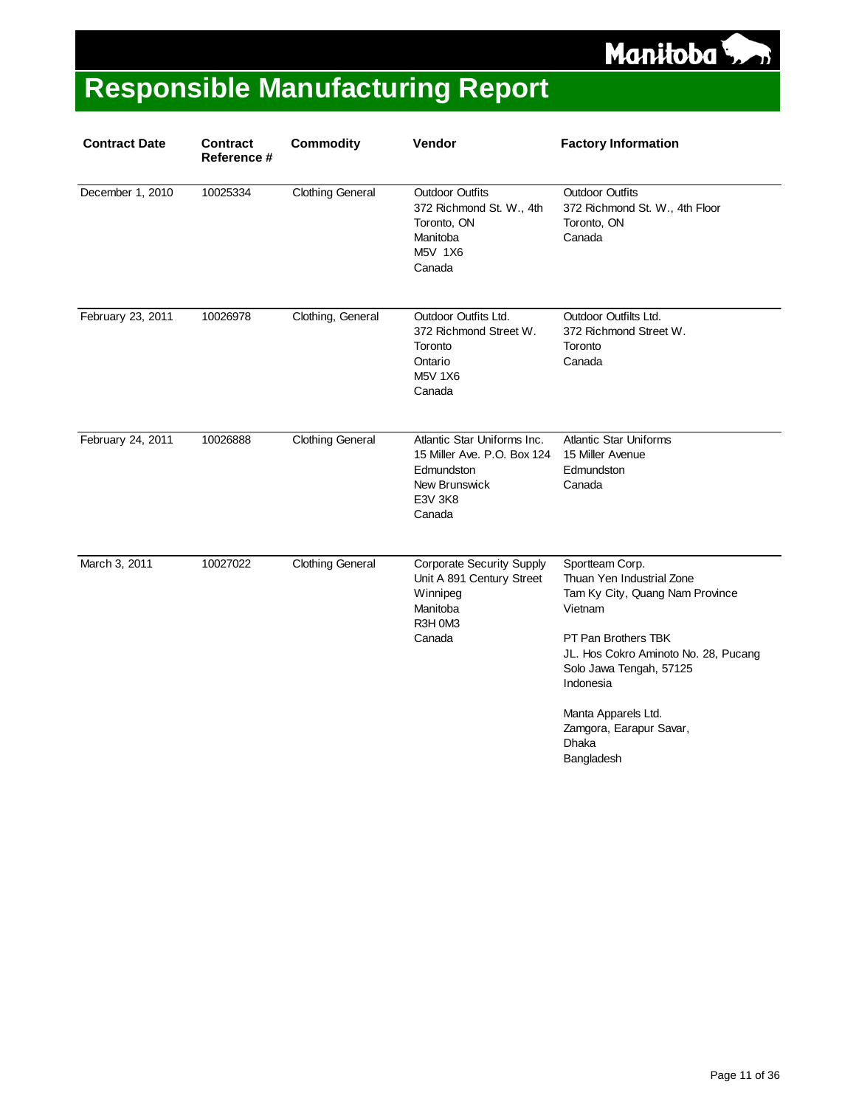

| <b>Contract Date</b> | <b>Contract</b><br>Reference # | <b>Commodity</b>        | Vendor                                                                                                                | <b>Factory Information</b>                                                                                                                                                                                                                                                 |
|----------------------|--------------------------------|-------------------------|-----------------------------------------------------------------------------------------------------------------------|----------------------------------------------------------------------------------------------------------------------------------------------------------------------------------------------------------------------------------------------------------------------------|
| December 1, 2010     | 10025334                       | <b>Clothing General</b> | <b>Outdoor Outfits</b><br>372 Richmond St. W., 4th<br>Toronto, ON<br>Manitoba<br>M5V 1X6<br>Canada                    | <b>Outdoor Outfits</b><br>372 Richmond St. W., 4th Floor<br>Toronto, ON<br>Canada                                                                                                                                                                                          |
| February 23, 2011    | 10026978                       | Clothing, General       | Outdoor Outfits Ltd.<br>372 Richmond Street W.<br>Toronto<br>Ontario<br><b>M5V 1X6</b><br>Canada                      | Outdoor Outfilts Ltd.<br>372 Richmond Street W.<br>Toronto<br>Canada                                                                                                                                                                                                       |
| February 24, 2011    | 10026888                       | <b>Clothing General</b> | Atlantic Star Uniforms Inc.<br>15 Miller Ave. P.O. Box 124<br>Edmundston<br><b>New Brunswick</b><br>E3V 3K8<br>Canada | <b>Atlantic Star Uniforms</b><br>15 Miller Avenue<br>Edmundston<br>Canada                                                                                                                                                                                                  |
| March 3, 2011        | 10027022                       | <b>Clothing General</b> | <b>Corporate Security Supply</b><br>Unit A 891 Century Street<br>Winnipeg<br>Manitoba<br>R3H 0M3<br>Canada            | Sportteam Corp.<br>Thuan Yen Industrial Zone<br>Tam Ky City, Quang Nam Province<br>Vietnam<br>PT Pan Brothers TBK<br>JL. Hos Cokro Aminoto No. 28, Pucang<br>Solo Jawa Tengah, 57125<br>Indonesia<br>Manta Apparels Ltd.<br>Zamgora, Earapur Savar,<br>Dhaka<br>Bangladesh |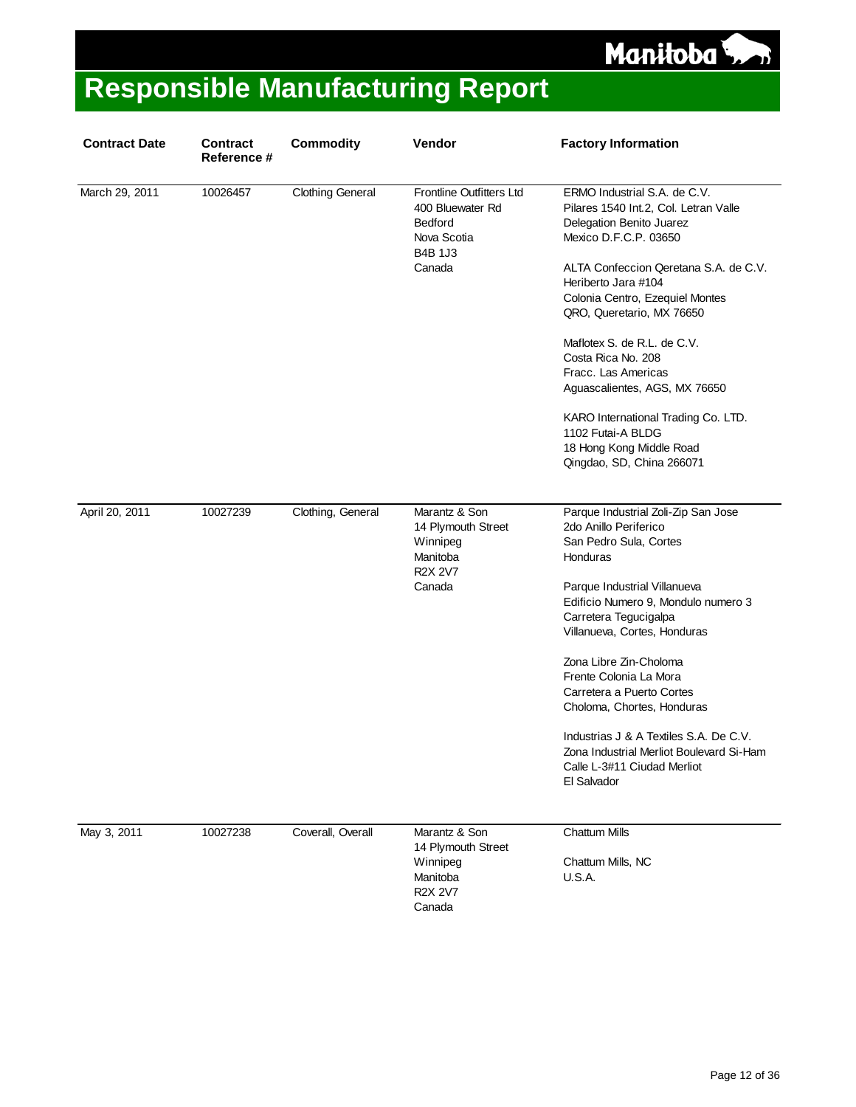

| <b>Contract Date</b> | Contract<br>Reference # | <b>Commodity</b>        | Vendor                                                                                             | <b>Factory Information</b>                                                                                                                                                                                                                                                                                                                                                                                                                                                                   |
|----------------------|-------------------------|-------------------------|----------------------------------------------------------------------------------------------------|----------------------------------------------------------------------------------------------------------------------------------------------------------------------------------------------------------------------------------------------------------------------------------------------------------------------------------------------------------------------------------------------------------------------------------------------------------------------------------------------|
| March 29, 2011       | 10026457                | <b>Clothing General</b> | Frontline Outfitters Ltd<br>400 Bluewater Rd<br>Bedford<br>Nova Scotia<br><b>B4B 1J3</b><br>Canada | ERMO Industrial S.A. de C.V.<br>Pilares 1540 Int.2, Col. Letran Valle<br>Delegation Benito Juarez<br>Mexico D.F.C.P. 03650<br>ALTA Confeccion Qeretana S.A. de C.V.<br>Heriberto Jara #104<br>Colonia Centro, Ezequiel Montes<br>QRO, Queretario, MX 76650<br>Maflotex S. de R.L. de C.V.<br>Costa Rica No. 208<br>Fracc. Las Americas<br>Aguascalientes, AGS, MX 76650<br>KARO International Trading Co. LTD.<br>1102 Futai-A BLDG<br>18 Hong Kong Middle Road<br>Qingdao, SD, China 266071 |
| April 20, 2011       | 10027239                | Clothing, General       | Marantz & Son<br>14 Plymouth Street<br>Winnipeg<br>Manitoba<br><b>R2X 2V7</b><br>Canada            | Parque Industrial Zoli-Zip San Jose<br>2do Anillo Periferico<br>San Pedro Sula, Cortes<br>Honduras<br>Parque Industrial Villanueva<br>Edificio Numero 9, Mondulo numero 3<br>Carretera Tegucigalpa<br>Villanueva, Cortes, Honduras<br>Zona Libre Zin-Choloma<br>Frente Colonia La Mora<br>Carretera a Puerto Cortes<br>Choloma, Chortes, Honduras<br>Industrias J & A Textiles S.A. De C.V.<br>Zona Industrial Merliot Boulevard Si-Ham<br>Calle L-3#11 Ciudad Merliot<br>El Salvador        |
| May 3, 2011          | 10027238                | Coverall, Overall       | Marantz & Son<br>14 Plymouth Street<br>Winnipeg<br>Manitoba<br><b>R2X 2V7</b><br>Canada            | <b>Chattum Mills</b><br>Chattum Mills, NC<br><b>U.S.A.</b>                                                                                                                                                                                                                                                                                                                                                                                                                                   |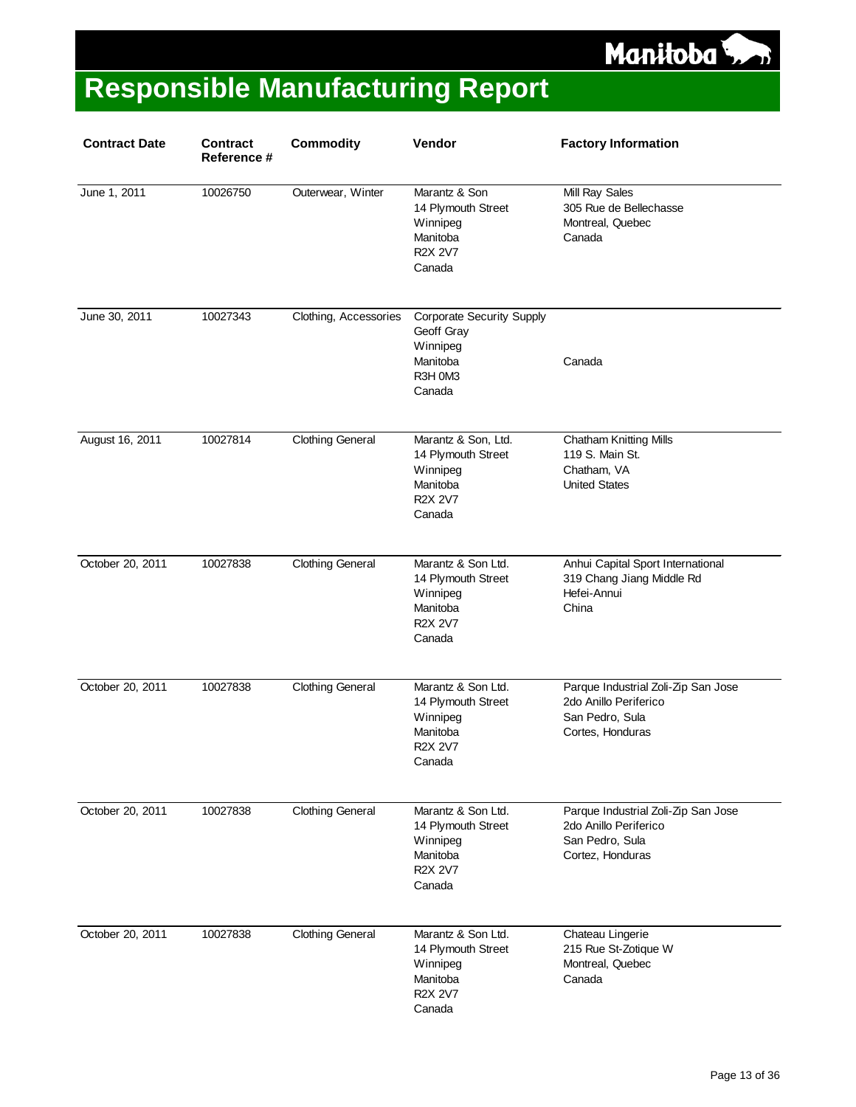

| <b>Contract Date</b> | <b>Contract</b><br>Reference # | <b>Commodity</b>        | Vendor                                                                                        | <b>Factory Information</b>                                                                          |
|----------------------|--------------------------------|-------------------------|-----------------------------------------------------------------------------------------------|-----------------------------------------------------------------------------------------------------|
| June 1, 2011         | 10026750                       | Outerwear, Winter       | Marantz & Son<br>14 Plymouth Street<br>Winnipeg<br>Manitoba<br><b>R2X 2V7</b><br>Canada       | Mill Ray Sales<br>305 Rue de Bellechasse<br>Montreal, Quebec<br>Canada                              |
| June 30, 2011        | 10027343                       | Clothing, Accessories   | <b>Corporate Security Supply</b><br>Geoff Gray<br>Winnipeg<br>Manitoba<br>R3H 0M3<br>Canada   | Canada                                                                                              |
| August 16, 2011      | 10027814                       | <b>Clothing General</b> | Marantz & Son, Ltd.<br>14 Plymouth Street<br>Winnipeg<br>Manitoba<br><b>R2X 2V7</b><br>Canada | <b>Chatham Knitting Mills</b><br>119 S. Main St.<br>Chatham, VA<br><b>United States</b>             |
| October 20, 2011     | 10027838                       | <b>Clothing General</b> | Marantz & Son Ltd.<br>14 Plymouth Street<br>Winnipeg<br>Manitoba<br><b>R2X 2V7</b><br>Canada  | Anhui Capital Sport International<br>319 Chang Jiang Middle Rd<br>Hefei-Annui<br>China              |
| October 20, 2011     | 10027838                       | <b>Clothing General</b> | Marantz & Son Ltd.<br>14 Plymouth Street<br>Winnipeg<br>Manitoba<br><b>R2X 2V7</b><br>Canada  | Parque Industrial Zoli-Zip San Jose<br>2do Anillo Periferico<br>San Pedro, Sula<br>Cortes, Honduras |
| October 20, 2011     | 10027838                       | <b>Clothing General</b> | Marantz & Son Ltd.<br>14 Plymouth Street<br>Winnipeg<br>Manitoba<br><b>R2X 2V7</b><br>Canada  | Parque Industrial Zoli-Zip San Jose<br>2do Anillo Periferico<br>San Pedro, Sula<br>Cortez, Honduras |
| October 20, 2011     | 10027838                       | <b>Clothing General</b> | Marantz & Son Ltd.<br>14 Plymouth Street<br>Winnipeg<br>Manitoba<br><b>R2X 2V7</b><br>Canada  | Chateau Lingerie<br>215 Rue St-Zotique W<br>Montreal, Quebec<br>Canada                              |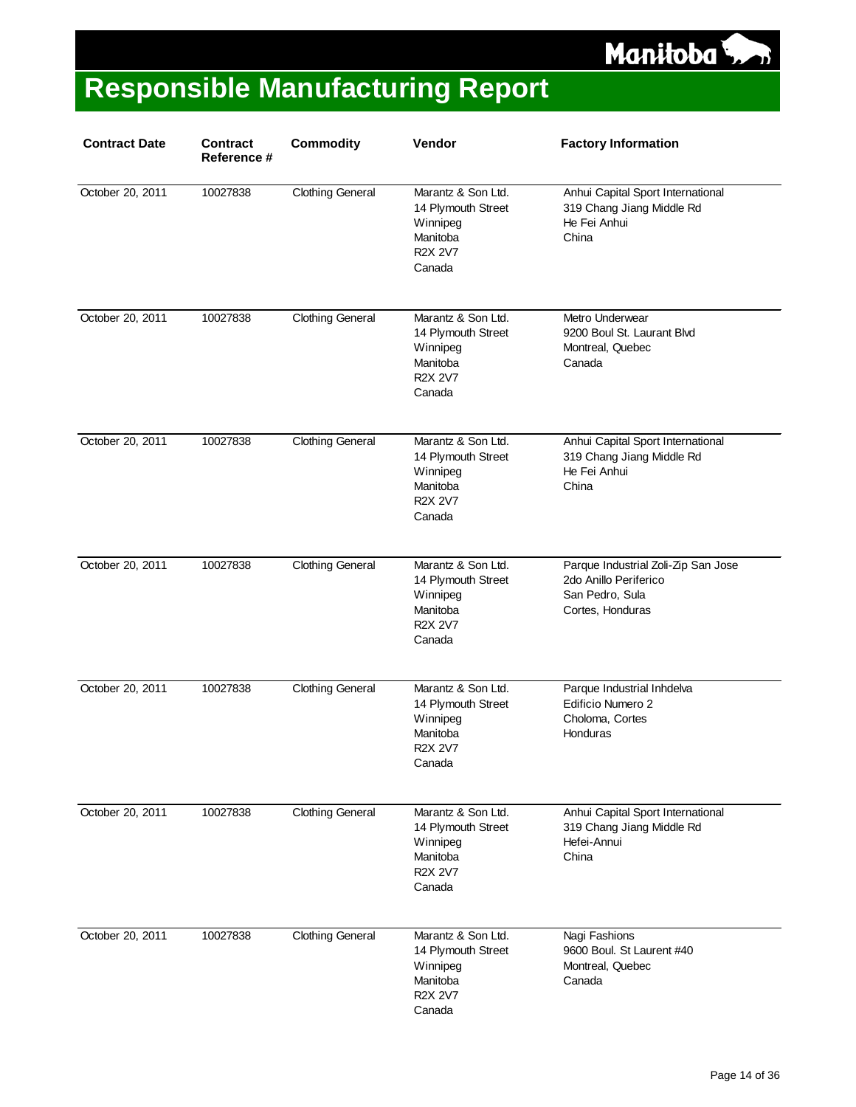

| <b>Contract Date</b> | <b>Contract</b><br>Reference # | <b>Commodity</b>        | Vendor                                                                                       | <b>Factory Information</b>                                                                          |
|----------------------|--------------------------------|-------------------------|----------------------------------------------------------------------------------------------|-----------------------------------------------------------------------------------------------------|
| October 20, 2011     | 10027838                       | <b>Clothing General</b> | Marantz & Son Ltd.<br>14 Plymouth Street<br>Winnipeg<br>Manitoba<br><b>R2X 2V7</b><br>Canada | Anhui Capital Sport International<br>319 Chang Jiang Middle Rd<br>He Fei Anhui<br>China             |
| October 20, 2011     | 10027838                       | <b>Clothing General</b> | Marantz & Son Ltd.<br>14 Plymouth Street<br>Winnipeg<br>Manitoba<br><b>R2X 2V7</b><br>Canada | Metro Underwear<br>9200 Boul St. Laurant Blvd<br>Montreal, Quebec<br>Canada                         |
| October 20, 2011     | 10027838                       | <b>Clothing General</b> | Marantz & Son Ltd.<br>14 Plymouth Street<br>Winnipeg<br>Manitoba<br><b>R2X 2V7</b><br>Canada | Anhui Capital Sport International<br>319 Chang Jiang Middle Rd<br>He Fei Anhui<br>China             |
| October 20, 2011     | 10027838                       | <b>Clothing General</b> | Marantz & Son Ltd.<br>14 Plymouth Street<br>Winnipeg<br>Manitoba<br><b>R2X 2V7</b><br>Canada | Parque Industrial Zoli-Zip San Jose<br>2do Anillo Periferico<br>San Pedro, Sula<br>Cortes, Honduras |
| October 20, 2011     | 10027838                       | <b>Clothing General</b> | Marantz & Son Ltd.<br>14 Plymouth Street<br>Winnipeg<br>Manitoba<br><b>R2X 2V7</b><br>Canada | Parque Industrial Inhdelva<br>Edificio Numero 2<br>Choloma, Cortes<br>Honduras                      |
| October 20, 2011     | 10027838                       | <b>Clothing General</b> | Marantz & Son Ltd.<br>14 Plymouth Street<br>Winnipeg<br>Manitoba<br><b>R2X 2V7</b><br>Canada | Anhui Capital Sport International<br>319 Chang Jiang Middle Rd<br>Hefei-Annui<br>China              |
| October 20, 2011     | 10027838                       | <b>Clothing General</b> | Marantz & Son Ltd.<br>14 Plymouth Street<br>Winnipeg<br>Manitoba<br><b>R2X 2V7</b><br>Canada | Nagi Fashions<br>9600 Boul. St Laurent #40<br>Montreal, Quebec<br>Canada                            |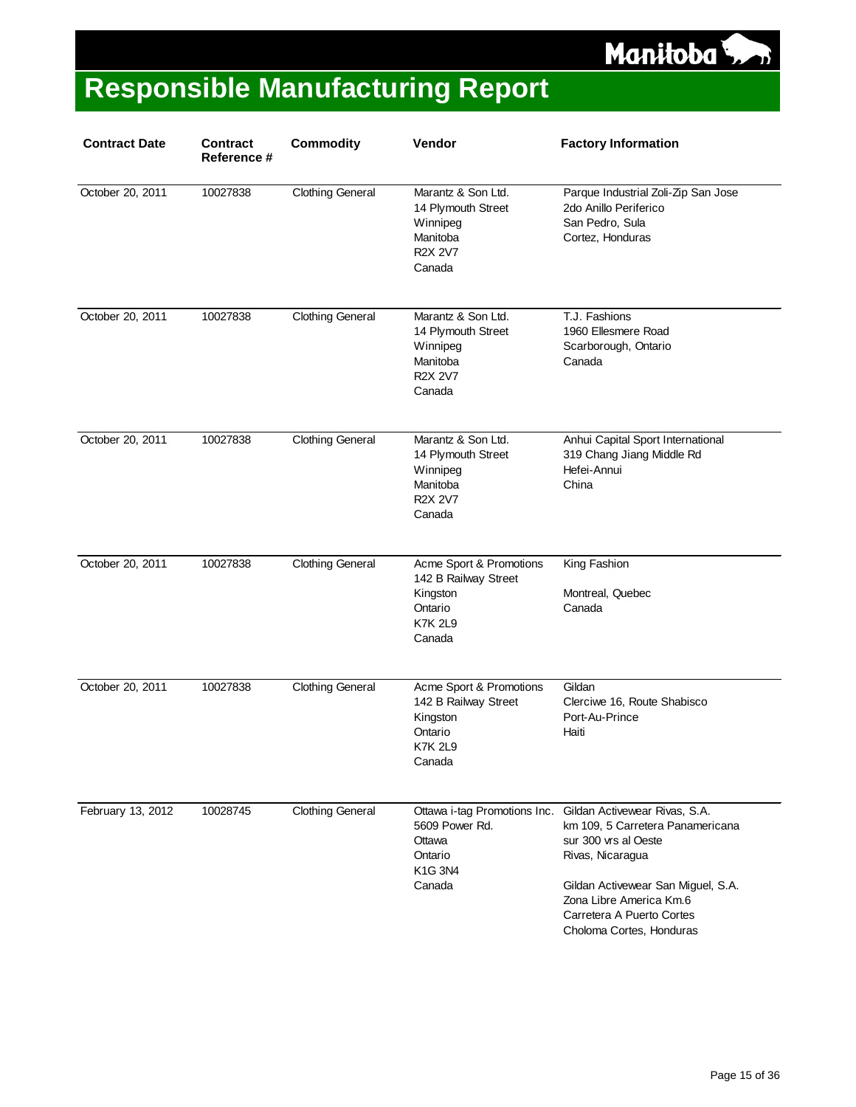

| <b>Contract Date</b> | <b>Contract</b><br>Reference # | <b>Commodity</b>        | Vendor                                                                                             | <b>Factory Information</b>                                                                                                                                                                                                              |
|----------------------|--------------------------------|-------------------------|----------------------------------------------------------------------------------------------------|-----------------------------------------------------------------------------------------------------------------------------------------------------------------------------------------------------------------------------------------|
| October 20, 2011     | 10027838                       | <b>Clothing General</b> | Marantz & Son Ltd.<br>14 Plymouth Street<br>Winnipeg<br>Manitoba<br><b>R2X 2V7</b><br>Canada       | Parque Industrial Zoli-Zip San Jose<br>2do Anillo Periferico<br>San Pedro, Sula<br>Cortez, Honduras                                                                                                                                     |
| October 20, 2011     | 10027838                       | <b>Clothing General</b> | Marantz & Son Ltd.<br>14 Plymouth Street<br>Winnipeg<br>Manitoba<br><b>R2X 2V7</b><br>Canada       | T.J. Fashions<br>1960 Ellesmere Road<br>Scarborough, Ontario<br>Canada                                                                                                                                                                  |
| October 20, 2011     | 10027838                       | <b>Clothing General</b> | Marantz & Son Ltd.<br>14 Plymouth Street<br>Winnipeg<br>Manitoba<br><b>R2X 2V7</b><br>Canada       | Anhui Capital Sport International<br>319 Chang Jiang Middle Rd<br>Hefei-Annui<br>China                                                                                                                                                  |
| October 20, 2011     | 10027838                       | <b>Clothing General</b> | Acme Sport & Promotions<br>142 B Railway Street<br>Kingston<br>Ontario<br><b>K7K 2L9</b><br>Canada | King Fashion<br>Montreal, Quebec<br>Canada                                                                                                                                                                                              |
| October 20, 2011     | 10027838                       | <b>Clothing General</b> | Acme Sport & Promotions<br>142 B Railway Street<br>Kingston<br>Ontario<br><b>K7K 2L9</b><br>Canada | Gildan<br>Clerciwe 16, Route Shabisco<br>Port-Au-Prince<br>Haiti                                                                                                                                                                        |
| February 13, 2012    | 10028745                       | <b>Clothing General</b> | Ottawa i-tag Promotions Inc.<br>5609 Power Rd.<br>Ottawa<br>Ontario<br>K1G 3N4<br>Canada           | Gildan Activewear Rivas, S.A.<br>km 109, 5 Carretera Panamericana<br>sur 300 vrs al Oeste<br>Rivas, Nicaragua<br>Gildan Activewear San Miguel, S.A.<br>Zona Libre America Km.6<br>Carretera A Puerto Cortes<br>Choloma Cortes, Honduras |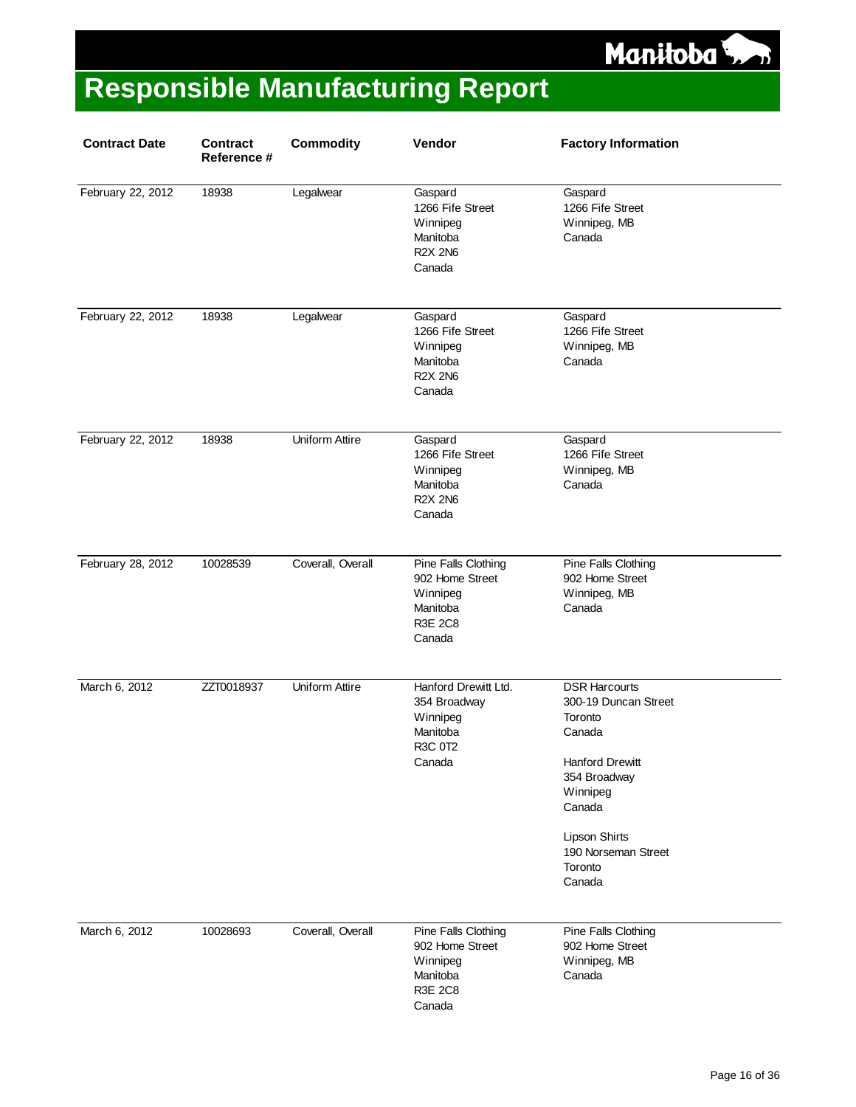

| <b>Contract Date</b> | <b>Contract</b><br>Reference # | <b>Commodity</b>      | Vendor                                                                                     | <b>Factory Information</b>                                                                                                                                                                     |
|----------------------|--------------------------------|-----------------------|--------------------------------------------------------------------------------------------|------------------------------------------------------------------------------------------------------------------------------------------------------------------------------------------------|
| February 22, 2012    | 18938                          | Legalwear             | Gaspard<br>1266 Fife Street<br>Winnipeg<br>Manitoba<br><b>R2X 2N6</b><br>Canada            | Gaspard<br>1266 Fife Street<br>Winnipeg, MB<br>Canada                                                                                                                                          |
| February 22, 2012    | 18938                          | Legalwear             | Gaspard<br>1266 Fife Street<br>Winnipeg<br>Manitoba<br><b>R2X 2N6</b><br>Canada            | Gaspard<br>1266 Fife Street<br>Winnipeg, MB<br>Canada                                                                                                                                          |
| February 22, 2012    | 18938                          | Uniform Attire        | Gaspard<br>1266 Fife Street<br>Winnipeg<br>Manitoba<br><b>R2X 2N6</b><br>Canada            | Gaspard<br>1266 Fife Street<br>Winnipeg, MB<br>Canada                                                                                                                                          |
| February 28, 2012    | 10028539                       | Coverall, Overall     | Pine Falls Clothing<br>902 Home Street<br>Winnipeg<br>Manitoba<br><b>R3E 2C8</b><br>Canada | Pine Falls Clothing<br>902 Home Street<br>Winnipeg, MB<br>Canada                                                                                                                               |
| March 6, 2012        | ZZT0018937                     | <b>Uniform Attire</b> | Hanford Drewitt Ltd.<br>354 Broadway<br>Winnipeg<br>Manitoba<br>R3C 0T2<br>Canada          | <b>DSR Harcourts</b><br>300-19 Duncan Street<br>Toronto<br>Canada<br>Hanford Drewitt<br>354 Broadway<br>Winnipeg<br>Canada<br><b>Lipson Shirts</b><br>190 Norseman Street<br>Toronto<br>Canada |
| March 6, 2012        | 10028693                       | Coverall, Overall     | Pine Falls Clothing<br>902 Home Street<br>Winnipeg<br>Manitoba<br><b>R3E 2C8</b><br>Canada | Pine Falls Clothing<br>902 Home Street<br>Winnipeg, MB<br>Canada                                                                                                                               |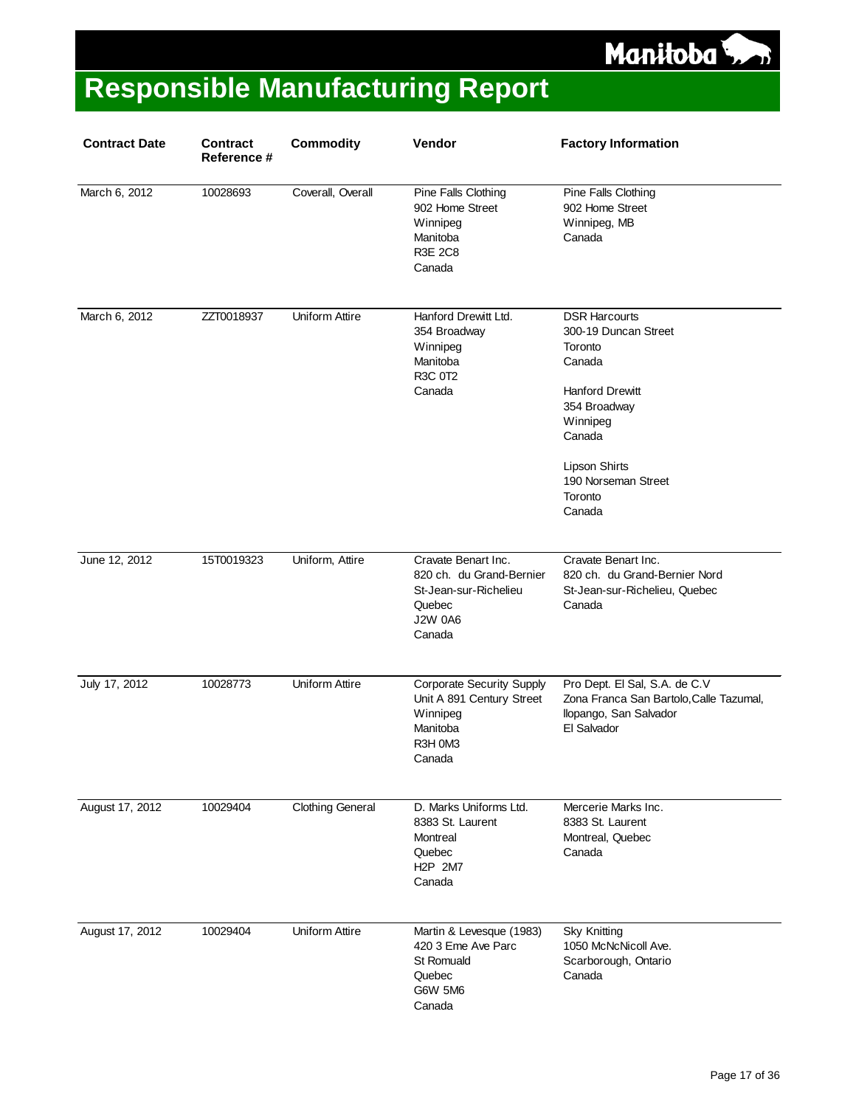

| <b>Contract Date</b> | <b>Contract</b><br>Reference # | <b>Commodity</b>        | Vendor                                                                                                         | <b>Factory Information</b>                                                                                                                                                                            |
|----------------------|--------------------------------|-------------------------|----------------------------------------------------------------------------------------------------------------|-------------------------------------------------------------------------------------------------------------------------------------------------------------------------------------------------------|
| March 6, 2012        | 10028693                       | Coverall, Overall       | Pine Falls Clothing<br>902 Home Street<br>Winnipeg<br>Manitoba<br><b>R3E 2C8</b><br>Canada                     | Pine Falls Clothing<br>902 Home Street<br>Winnipeg, MB<br>Canada                                                                                                                                      |
| March 6, 2012        | ZZT0018937                     | Uniform Attire          | Hanford Drewitt Ltd.<br>354 Broadway<br>Winnipeg<br>Manitoba<br>R3C 0T2<br>Canada                              | <b>DSR Harcourts</b><br>300-19 Duncan Street<br>Toronto<br>Canada<br><b>Hanford Drewitt</b><br>354 Broadway<br>Winnipeg<br>Canada<br><b>Lipson Shirts</b><br>190 Norseman Street<br>Toronto<br>Canada |
| June 12, 2012        | 15T0019323                     | Uniform, Attire         | Cravate Benart Inc.<br>820 ch. du Grand-Bernier<br>St-Jean-sur-Richelieu<br>Quebec<br><b>J2W 0A6</b><br>Canada | Cravate Benart Inc.<br>820 ch. du Grand-Bernier Nord<br>St-Jean-sur-Richelieu, Quebec<br>Canada                                                                                                       |
| July 17, 2012        | 10028773                       | Uniform Attire          | <b>Corporate Security Supply</b><br>Unit A 891 Century Street<br>Winnipeg<br>Manitoba<br>R3H 0M3<br>Canada     | Pro Dept. El Sal, S.A. de C.V<br>Zona Franca San Bartolo, Calle Tazumal,<br>llopango, San Salvador<br>El Salvador                                                                                     |
| August 17, 2012      | 10029404                       | <b>Clothing General</b> | D. Marks Uniforms Ltd.<br>8383 St. Laurent<br>Montreal<br>Quebec<br>H <sub>2</sub> P 2M7<br>Canada             | Mercerie Marks Inc.<br>8383 St. Laurent<br>Montreal, Quebec<br>Canada                                                                                                                                 |
| August 17, 2012      | 10029404                       | <b>Uniform Attire</b>   | Martin & Levesque (1983)<br>420 3 Eme Ave Parc<br><b>St Romuald</b><br>Quebec<br><b>G6W 5M6</b><br>Canada      | <b>Sky Knitting</b><br>1050 McNcNicoll Ave.<br>Scarborough, Ontario<br>Canada                                                                                                                         |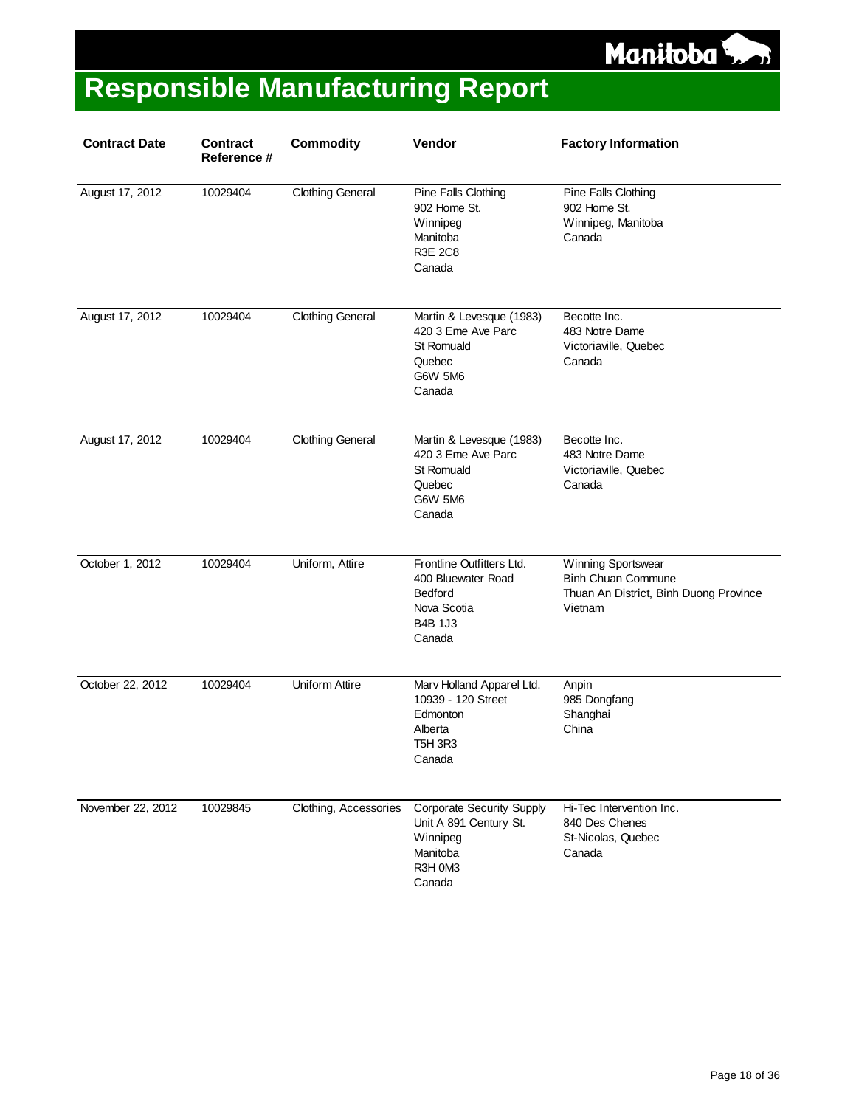

| <b>Contract Date</b> | <b>Contract</b><br>Reference # | <b>Commodity</b>        | <b>Vendor</b>                                                                                                | <b>Factory Information</b>                                                                           |
|----------------------|--------------------------------|-------------------------|--------------------------------------------------------------------------------------------------------------|------------------------------------------------------------------------------------------------------|
| August 17, 2012      | 10029404                       | <b>Clothing General</b> | Pine Falls Clothing<br>902 Home St.<br>Winnipeg<br>Manitoba<br><b>R3E 2C8</b><br>Canada                      | Pine Falls Clothing<br>902 Home St.<br>Winnipeg, Manitoba<br>Canada                                  |
| August 17, 2012      | 10029404                       | <b>Clothing General</b> | Martin & Levesque (1983)<br>420 3 Eme Ave Parc<br>St Romuald<br>Quebec<br>G6W 5M6<br>Canada                  | Becotte Inc.<br>483 Notre Dame<br>Victoriaville, Quebec<br>Canada                                    |
| August 17, 2012      | 10029404                       | <b>Clothing General</b> | Martin & Levesque (1983)<br>420 3 Eme Ave Parc<br>St Romuald<br>Quebec<br><b>G6W 5M6</b><br>Canada           | Becotte Inc.<br>483 Notre Dame<br>Victoriaville, Quebec<br>Canada                                    |
| October 1, 2012      | 10029404                       | Uniform, Attire         | Frontline Outfitters Ltd.<br>400 Bluewater Road<br><b>Bedford</b><br>Nova Scotia<br><b>B4B 1J3</b><br>Canada | Winning Sportswear<br><b>Binh Chuan Commune</b><br>Thuan An District, Binh Duong Province<br>Vietnam |
| October 22, 2012     | 10029404                       | <b>Uniform Attire</b>   | Marv Holland Apparel Ltd.<br>10939 - 120 Street<br>Edmonton<br>Alberta<br><b>T5H 3R3</b><br>Canada           | Anpin<br>985 Dongfang<br>Shanghai<br>China                                                           |
| November 22, 2012    | 10029845                       | Clothing, Accessories   | <b>Corporate Security Supply</b><br>Unit A 891 Century St.<br>Winnipeg<br>Manitoba<br>R3H 0M3<br>Canada      | Hi-Tec Intervention Inc.<br>840 Des Chenes<br>St-Nicolas, Quebec<br>Canada                           |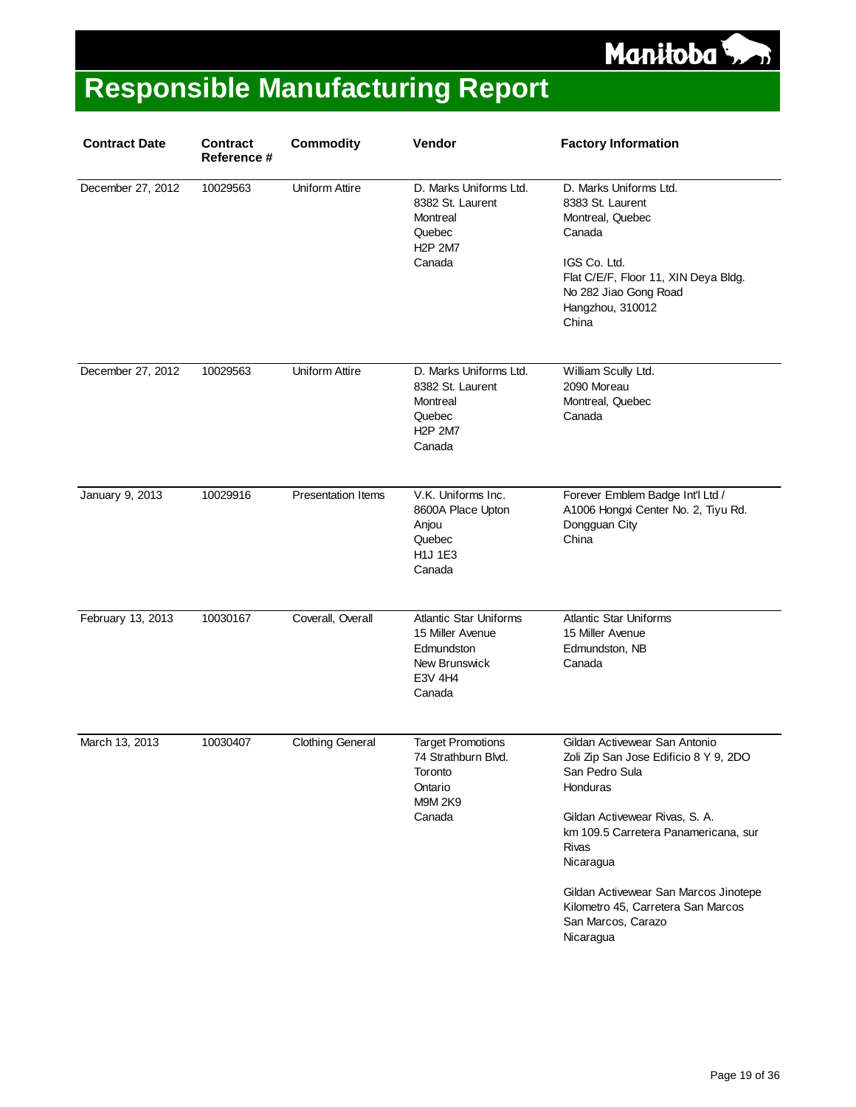

| <b>Contract Date</b> | <b>Contract</b><br>Reference # | <b>Commodity</b>          | Vendor                                                                                                | <b>Factory Information</b>                                                                                                                                                                                                                                                                                                    |
|----------------------|--------------------------------|---------------------------|-------------------------------------------------------------------------------------------------------|-------------------------------------------------------------------------------------------------------------------------------------------------------------------------------------------------------------------------------------------------------------------------------------------------------------------------------|
| December 27, 2012    | 10029563                       | Uniform Attire            | D. Marks Uniforms Ltd.<br>8382 St. Laurent<br>Montreal<br>Quebec<br><b>H2P 2M7</b><br>Canada          | D. Marks Uniforms Ltd.<br>8383 St. Laurent<br>Montreal, Quebec<br>Canada<br>IGS Co. Ltd.<br>Flat C/E/F, Floor 11, XIN Deya Bldg.<br>No 282 Jiao Gong Road<br>Hangzhou, 310012<br>China                                                                                                                                        |
| December 27, 2012    | 10029563                       | Uniform Attire            | D. Marks Uniforms Ltd.<br>8382 St. Laurent<br>Montreal<br>Quebec<br><b>H2P 2M7</b><br>Canada          | William Scully Ltd.<br>2090 Moreau<br>Montreal, Quebec<br>Canada                                                                                                                                                                                                                                                              |
| January 9, 2013      | 10029916                       | <b>Presentation Items</b> | V.K. Uniforms Inc.<br>8600A Place Upton<br>Anjou<br>Quebec<br>H1J 1E3<br>Canada                       | Forever Emblem Badge Int'l Ltd /<br>A1006 Hongxi Center No. 2, Tiyu Rd.<br>Dongguan City<br>China                                                                                                                                                                                                                             |
| February 13, 2013    | 10030167                       | Coverall, Overall         | <b>Atlantic Star Uniforms</b><br>15 Miller Avenue<br>Edmundston<br>New Brunswick<br>E3V 4H4<br>Canada | <b>Atlantic Star Uniforms</b><br>15 Miller Avenue<br>Edmundston, NB<br>Canada                                                                                                                                                                                                                                                 |
| March 13, 2013       | 10030407                       | <b>Clothing General</b>   | <b>Target Promotions</b><br>74 Strathburn Blvd.<br>Toronto<br>Ontario<br><b>M9M 2K9</b><br>Canada     | Gildan Activewear San Antonio<br>Zoli Zip San Jose Edificio 8 Y 9, 2DO<br>San Pedro Sula<br>Honduras<br>Gildan Activewear Rivas, S. A.<br>km 109.5 Carretera Panamericana, sur<br><b>Rivas</b><br>Nicaragua<br>Gildan Activewear San Marcos Jinotepe<br>Kilometro 45, Carretera San Marcos<br>San Marcos, Carazo<br>Nicaragua |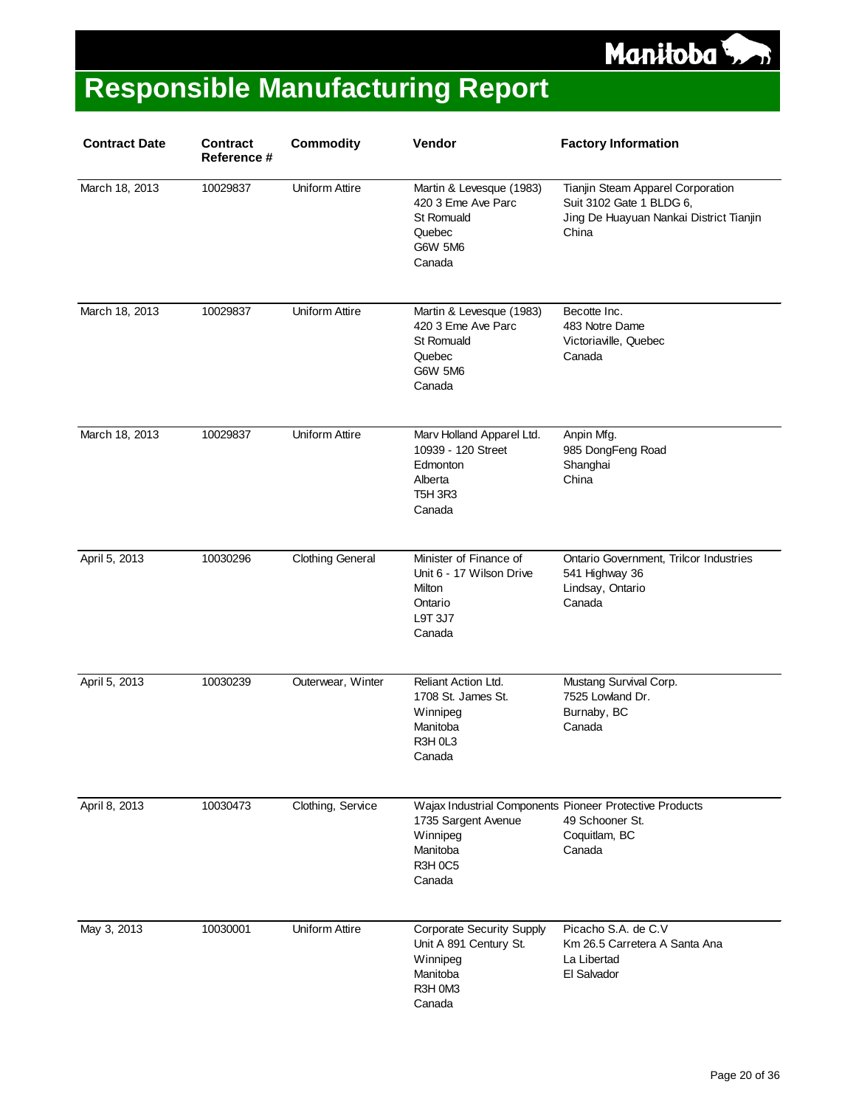

| <b>Contract Date</b> | <b>Contract</b><br>Reference # | <b>Commodity</b>        | Vendor                                                                                                  | <b>Factory Information</b>                                                                                        |
|----------------------|--------------------------------|-------------------------|---------------------------------------------------------------------------------------------------------|-------------------------------------------------------------------------------------------------------------------|
| March 18, 2013       | 10029837                       | Uniform Attire          | Martin & Levesque (1983)<br>420 3 Eme Ave Parc<br>St Romuald<br>Quebec<br>G6W 5M6<br>Canada             | Tianjin Steam Apparel Corporation<br>Suit 3102 Gate 1 BLDG 6,<br>Jing De Huayuan Nankai District Tianjin<br>China |
| March 18, 2013       | 10029837                       | <b>Uniform Attire</b>   | Martin & Levesque (1983)<br>420 3 Eme Ave Parc<br><b>St Romuald</b><br>Quebec<br>G6W 5M6<br>Canada      | Becotte Inc.<br>483 Notre Dame<br>Victoriaville, Quebec<br>Canada                                                 |
| March 18, 2013       | 10029837                       | <b>Uniform Attire</b>   | Marv Holland Apparel Ltd.<br>10939 - 120 Street<br>Edmonton<br>Alberta<br><b>T5H 3R3</b><br>Canada      | Anpin Mfg.<br>985 DongFeng Road<br>Shanghai<br>China                                                              |
| April 5, 2013        | 10030296                       | <b>Clothing General</b> | Minister of Finance of<br>Unit 6 - 17 Wilson Drive<br>Milton<br>Ontario<br>L9T 3J7<br>Canada            | Ontario Government, Trilcor Industries<br>541 Highway 36<br>Lindsay, Ontario<br>Canada                            |
| April 5, 2013        | 10030239                       | Outerwear, Winter       | Reliant Action Ltd.<br>1708 St. James St.<br>Winnipeg<br>Manitoba<br>R3H 0L3<br>Canada                  | Mustang Survival Corp.<br>7525 Lowland Dr.<br>Burnaby, BC<br>Canada                                               |
| April 8, 2013        | 10030473                       | Clothing, Service       | 1735 Sargent Avenue<br>Winnipeg<br>Manitoba<br><b>R3H 0C5</b><br>Canada                                 | Wajax Industrial Components Pioneer Protective Products<br>49 Schooner St.<br>Coquitlam, BC<br>Canada             |
| May 3, 2013          | 10030001                       | <b>Uniform Attire</b>   | <b>Corporate Security Supply</b><br>Unit A 891 Century St.<br>Winnipeg<br>Manitoba<br>R3H 0M3<br>Canada | Picacho S.A. de C.V<br>Km 26.5 Carretera A Santa Ana<br>La Libertad<br>El Salvador                                |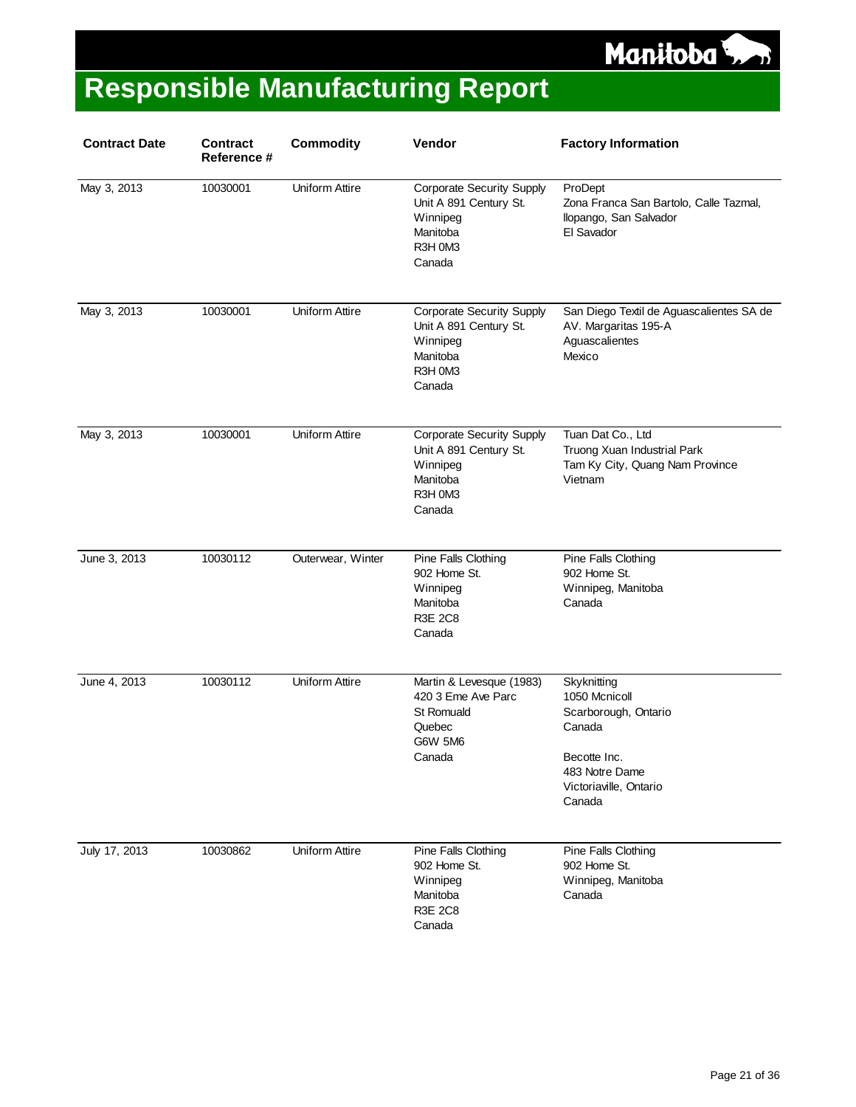

| <b>Contract Date</b> | Contract<br><b>Reference #</b> | <b>Commodity</b>  | Vendor                                                                                                  | <b>Factory Information</b>                                                                                                           |
|----------------------|--------------------------------|-------------------|---------------------------------------------------------------------------------------------------------|--------------------------------------------------------------------------------------------------------------------------------------|
| May 3, 2013          | 10030001                       | Uniform Attire    | <b>Corporate Security Supply</b><br>Unit A 891 Century St.<br>Winnipeg<br>Manitoba<br>R3H 0M3<br>Canada | ProDept<br>Zona Franca San Bartolo, Calle Tazmal,<br>Ilopango, San Salvador<br>El Savador                                            |
| May 3, 2013          | 10030001                       | Uniform Attire    | <b>Corporate Security Supply</b><br>Unit A 891 Century St.<br>Winnipeg<br>Manitoba<br>R3H 0M3<br>Canada | San Diego Textil de Aguascalientes SA de<br>AV. Margaritas 195-A<br>Aguascalientes<br>Mexico                                         |
| May 3, 2013          | 10030001                       | Uniform Attire    | <b>Corporate Security Supply</b><br>Unit A 891 Century St.<br>Winnipeg<br>Manitoba<br>R3H 0M3<br>Canada | Tuan Dat Co., Ltd<br>Truong Xuan Industrial Park<br>Tam Ky City, Quang Nam Province<br>Vietnam                                       |
| June 3, 2013         | 10030112                       | Outerwear, Winter | Pine Falls Clothing<br>902 Home St.<br>Winnipeg<br>Manitoba<br><b>R3E 2C8</b><br>Canada                 | Pine Falls Clothing<br>902 Home St.<br>Winnipeg, Manitoba<br>Canada                                                                  |
| June 4, 2013         | 10030112                       | Uniform Attire    | Martin & Levesque (1983)<br>420 3 Eme Ave Parc<br>St Romuald<br>Quebec<br><b>G6W 5M6</b><br>Canada      | Skyknitting<br>1050 Mcnicoll<br>Scarborough, Ontario<br>Canada<br>Becotte Inc.<br>483 Notre Dame<br>Victoriaville, Ontario<br>Canada |
| July 17, 2013        | 10030862                       | Uniform Attire    | Pine Falls Clothing<br>902 Home St.<br>Winnipeg<br>Manitoba<br><b>R3E 2C8</b><br>Canada                 | Pine Falls Clothing<br>902 Home St.<br>Winnipeg, Manitoba<br>Canada                                                                  |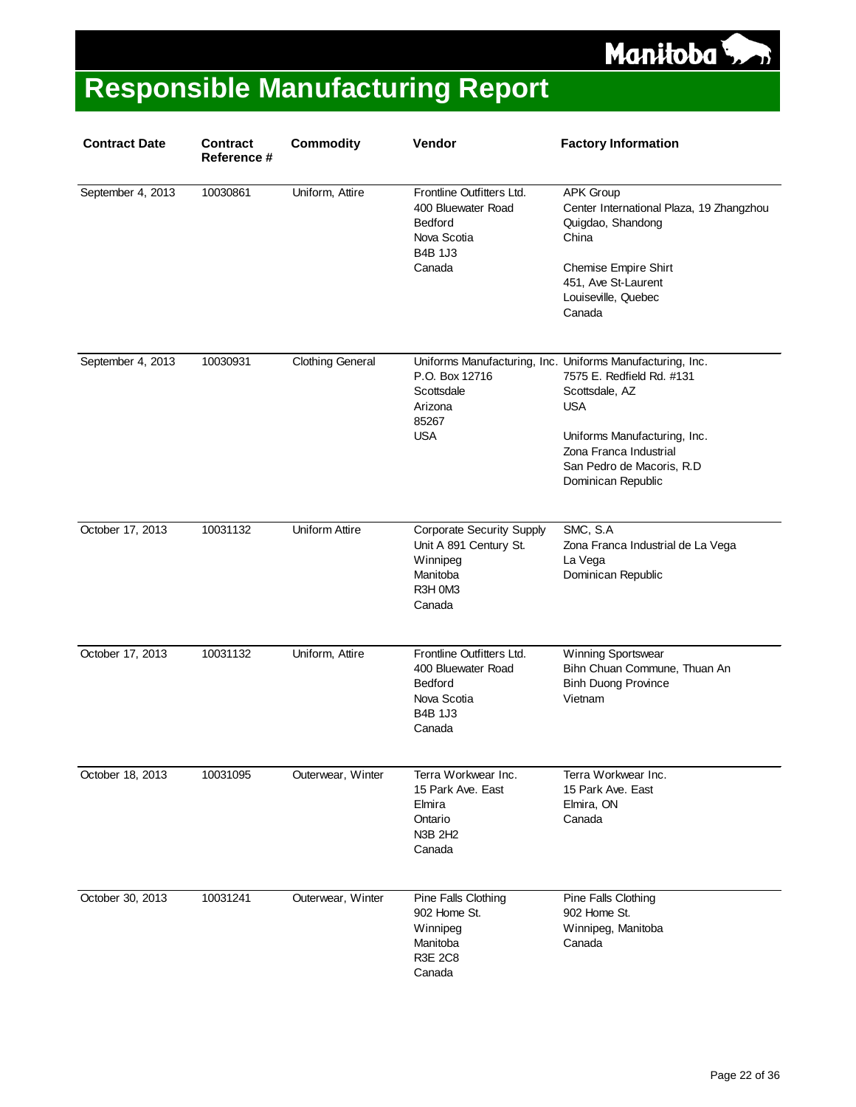

| <b>Contract Date</b> | <b>Contract</b><br><b>Reference #</b> | <b>Commodity</b>        | Vendor                                                                                                  | <b>Factory Information</b>                                                                                                                                                                                                           |
|----------------------|---------------------------------------|-------------------------|---------------------------------------------------------------------------------------------------------|--------------------------------------------------------------------------------------------------------------------------------------------------------------------------------------------------------------------------------------|
| September 4, 2013    | 10030861                              | Uniform, Attire         | Frontline Outfitters Ltd.<br>400 Bluewater Road<br>Bedford<br>Nova Scotia<br><b>B4B 1J3</b><br>Canada   | APK Group<br>Center International Plaza, 19 Zhangzhou<br>Quigdao, Shandong<br>China<br><b>Chemise Empire Shirt</b><br>451, Ave St-Laurent<br>Louiseville, Quebec<br>Canada                                                           |
| September 4, 2013    | 10030931                              | <b>Clothing General</b> | P.O. Box 12716<br>Scottsdale<br>Arizona<br>85267<br><b>USA</b>                                          | Uniforms Manufacturing, Inc. Uniforms Manufacturing, Inc.<br>7575 E. Redfield Rd. #131<br>Scottsdale, AZ<br><b>USA</b><br>Uniforms Manufacturing, Inc.<br>Zona Franca Industrial<br>San Pedro de Macoris, R.D.<br>Dominican Republic |
| October 17, 2013     | 10031132                              | Uniform Attire          | <b>Corporate Security Supply</b><br>Unit A 891 Century St.<br>Winnipeg<br>Manitoba<br>R3H 0M3<br>Canada | SMC, S.A<br>Zona Franca Industrial de La Vega<br>La Vega<br>Dominican Republic                                                                                                                                                       |
| October 17, 2013     | 10031132                              | Uniform, Attire         | Frontline Outfitters Ltd.<br>400 Bluewater Road<br>Bedford<br>Nova Scotia<br><b>B4B 1J3</b><br>Canada   | Winning Sportswear<br>Bihn Chuan Commune, Thuan An<br><b>Binh Duong Province</b><br>Vietnam                                                                                                                                          |
| October 18, 2013     | 10031095                              | Outerwear, Winter       | Terra Workwear Inc.<br>15 Park Ave. East<br>Elmira<br>Ontario<br>N3B 2H2<br>Canada                      | Terra Workwear Inc.<br>15 Park Ave. East<br>Elmira, ON<br>Canada                                                                                                                                                                     |
| October 30, 2013     | 10031241                              | Outerwear, Winter       | Pine Falls Clothing<br>902 Home St.<br>Winnipeg<br>Manitoba<br><b>R3E 2C8</b><br>Canada                 | Pine Falls Clothing<br>902 Home St.<br>Winnipeg, Manitoba<br>Canada                                                                                                                                                                  |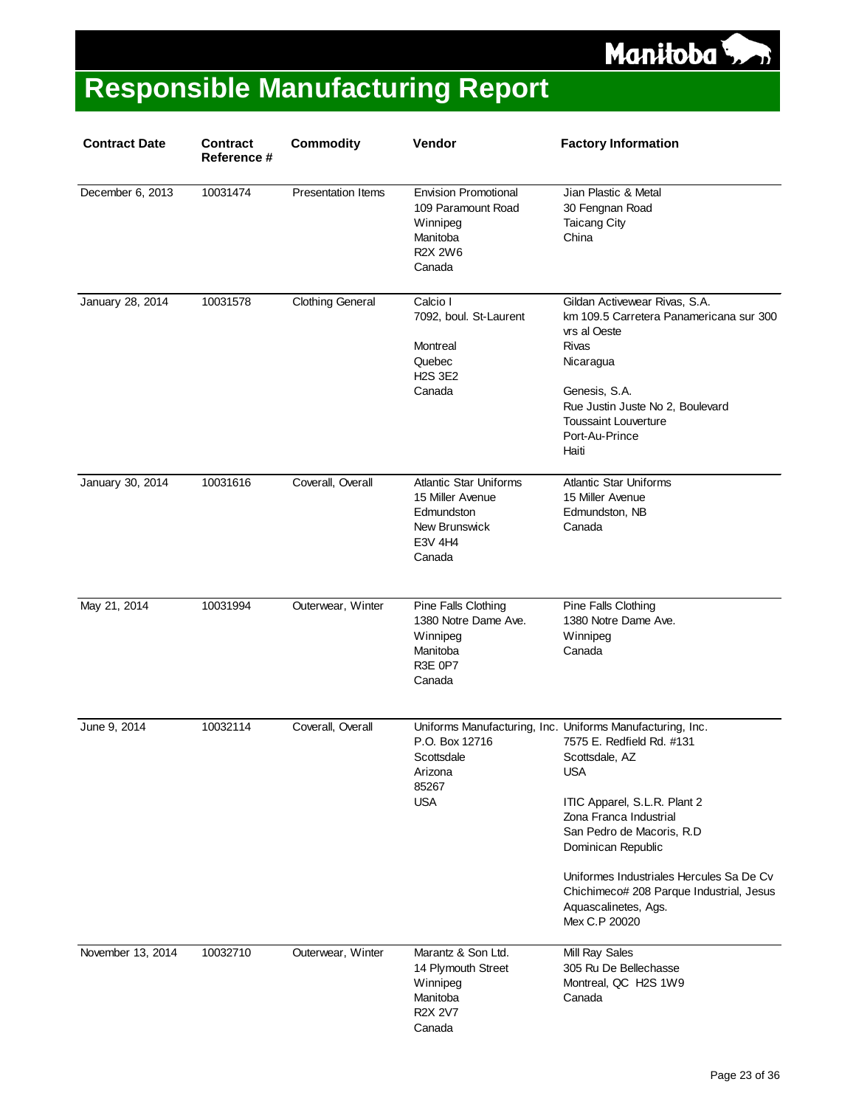

| <b>Contract Date</b> | <b>Contract</b><br>Reference # | <b>Commodity</b>          | Vendor                                                                                                | <b>Factory Information</b>                                                                                                                                                                                                                                                                                                                                            |
|----------------------|--------------------------------|---------------------------|-------------------------------------------------------------------------------------------------------|-----------------------------------------------------------------------------------------------------------------------------------------------------------------------------------------------------------------------------------------------------------------------------------------------------------------------------------------------------------------------|
| December 6, 2013     | 10031474                       | <b>Presentation Items</b> | <b>Envision Promotional</b><br>109 Paramount Road<br>Winnipeg<br>Manitoba<br><b>R2X 2W6</b><br>Canada | Jian Plastic & Metal<br>30 Fengnan Road<br><b>Taicang City</b><br>China                                                                                                                                                                                                                                                                                               |
| January 28, 2014     | 10031578                       | <b>Clothing General</b>   | Calcio I<br>7092, boul. St-Laurent<br>Montreal<br>Quebec<br><b>H2S 3E2</b><br>Canada                  | Gildan Activewear Rivas, S.A.<br>km 109.5 Carretera Panamericana sur 300<br>vrs al Oeste<br>Rivas<br>Nicaragua<br>Genesis, S.A.<br>Rue Justin Juste No 2, Boulevard<br><b>Toussaint Louverture</b><br>Port-Au-Prince<br>Haiti                                                                                                                                         |
| January 30, 2014     | 10031616                       | Coverall, Overall         | <b>Atlantic Star Uniforms</b><br>15 Miller Avenue<br>Edmundston<br>New Brunswick<br>E3V 4H4<br>Canada | <b>Atlantic Star Uniforms</b><br>15 Miller Avenue<br>Edmundston, NB<br>Canada                                                                                                                                                                                                                                                                                         |
| May 21, 2014         | 10031994                       | Outerwear, Winter         | Pine Falls Clothing<br>1380 Notre Dame Ave.<br>Winnipeg<br>Manitoba<br>R3E 0P7<br>Canada              | Pine Falls Clothing<br>1380 Notre Dame Ave.<br>Winnipeg<br>Canada                                                                                                                                                                                                                                                                                                     |
| June 9, 2014         | 10032114                       | Coverall, Overall         | P.O. Box 12716<br>Scottsdale<br>Arizona<br>85267<br><b>USA</b>                                        | Uniforms Manufacturing, Inc. Uniforms Manufacturing, Inc.<br>7575 E. Redfield Rd. #131<br>Scottsdale, AZ<br><b>USA</b><br>ITIC Apparel, S.L.R. Plant 2<br>Zona Franca Industrial<br>San Pedro de Macoris, R.D.<br>Dominican Republic<br>Uniformes Industriales Hercules Sa De Cy<br>Chichimeco# 208 Parque Industrial, Jesus<br>Aquascalinetes, Ags.<br>Mex C.P 20020 |
| November 13, 2014    | 10032710                       | Outerwear, Winter         | Marantz & Son Ltd.<br>14 Plymouth Street<br>Winnipeg<br>Manitoba<br><b>R2X 2V7</b><br>Canada          | Mill Ray Sales<br>305 Ru De Bellechasse<br>Montreal, QC H2S 1W9<br>Canada                                                                                                                                                                                                                                                                                             |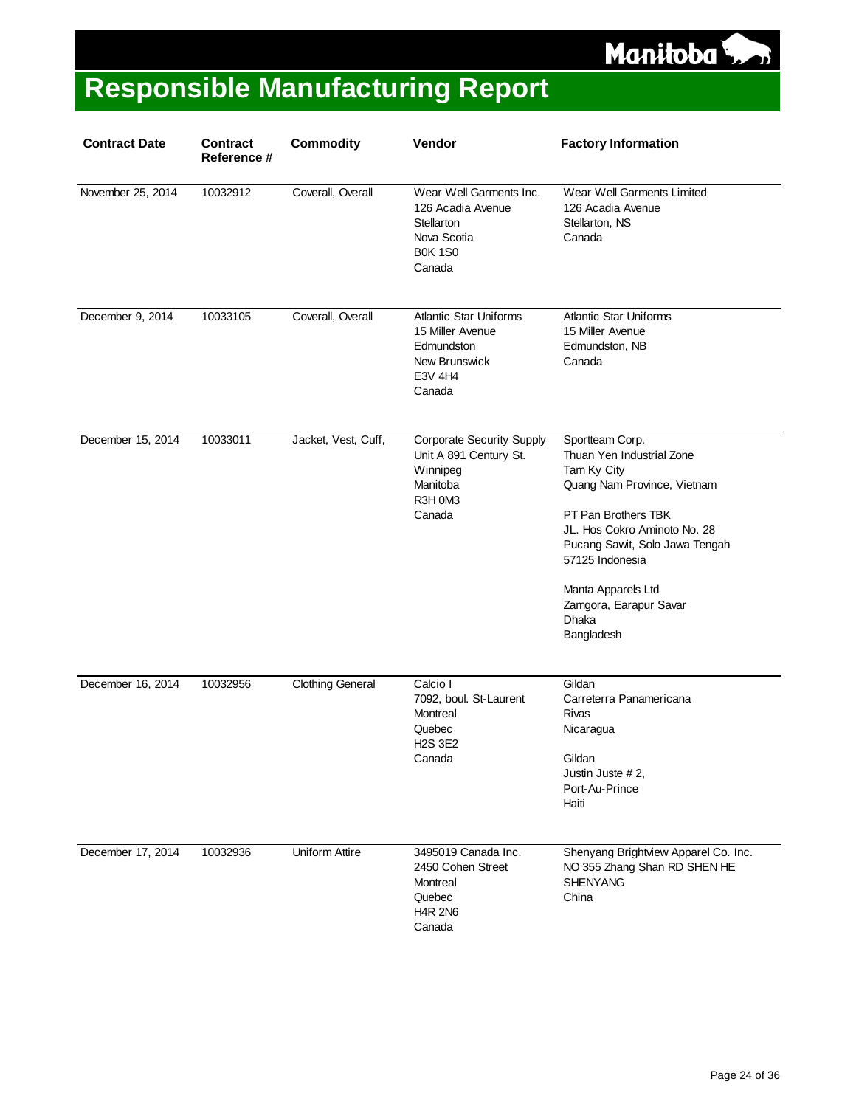

| <b>Contract Date</b> | <b>Contract</b><br>Reference # | <b>Commodity</b>        | Vendor                                                                                                  | <b>Factory Information</b>                                                                                                                                                                                                                                                           |
|----------------------|--------------------------------|-------------------------|---------------------------------------------------------------------------------------------------------|--------------------------------------------------------------------------------------------------------------------------------------------------------------------------------------------------------------------------------------------------------------------------------------|
| November 25, 2014    | 10032912                       | Coverall, Overall       | Wear Well Garments Inc.<br>126 Acadia Avenue<br>Stellarton<br>Nova Scotia<br><b>B0K 1S0</b><br>Canada   | Wear Well Garments Limited<br>126 Acadia Avenue<br>Stellarton, NS<br>Canada                                                                                                                                                                                                          |
| December 9, 2014     | 10033105                       | Coverall, Overall       | <b>Atlantic Star Uniforms</b><br>15 Miller Avenue<br>Edmundston<br>New Brunswick<br>E3V 4H4<br>Canada   | <b>Atlantic Star Uniforms</b><br>15 Miller Avenue<br>Edmundston, NB<br>Canada                                                                                                                                                                                                        |
| December 15, 2014    | 10033011                       | Jacket, Vest, Cuff,     | <b>Corporate Security Supply</b><br>Unit A 891 Century St.<br>Winnipeg<br>Manitoba<br>R3H 0M3<br>Canada | Sportteam Corp.<br>Thuan Yen Industrial Zone<br>Tam Ky City<br>Quang Nam Province, Vietnam<br>PT Pan Brothers TBK<br>JL. Hos Cokro Aminoto No. 28<br>Pucang Sawit, Solo Jawa Tengah<br>57125 Indonesia<br>Manta Apparels Ltd<br>Zamgora, Earapur Savar<br><b>Dhaka</b><br>Bangladesh |
| December 16, 2014    | 10032956                       | <b>Clothing General</b> | Calcio I<br>7092, boul. St-Laurent<br>Montreal<br>Quebec<br><b>H2S 3E2</b><br>Canada                    | Gildan<br>Carreterra Panamericana<br>Rivas<br>Nicaragua<br>Gildan<br>Justin Juste # 2,<br>Port-Au-Prince<br>Haiti                                                                                                                                                                    |
| December 17, 2014    | 10032936                       | Uniform Attire          | 3495019 Canada Inc.<br>2450 Cohen Street<br>Montreal<br>Quebec<br><b>H4R 2N6</b><br>Canada              | Shenyang Brightview Apparel Co. Inc.<br>NO 355 Zhang Shan RD SHEN HE<br><b>SHENYANG</b><br>China                                                                                                                                                                                     |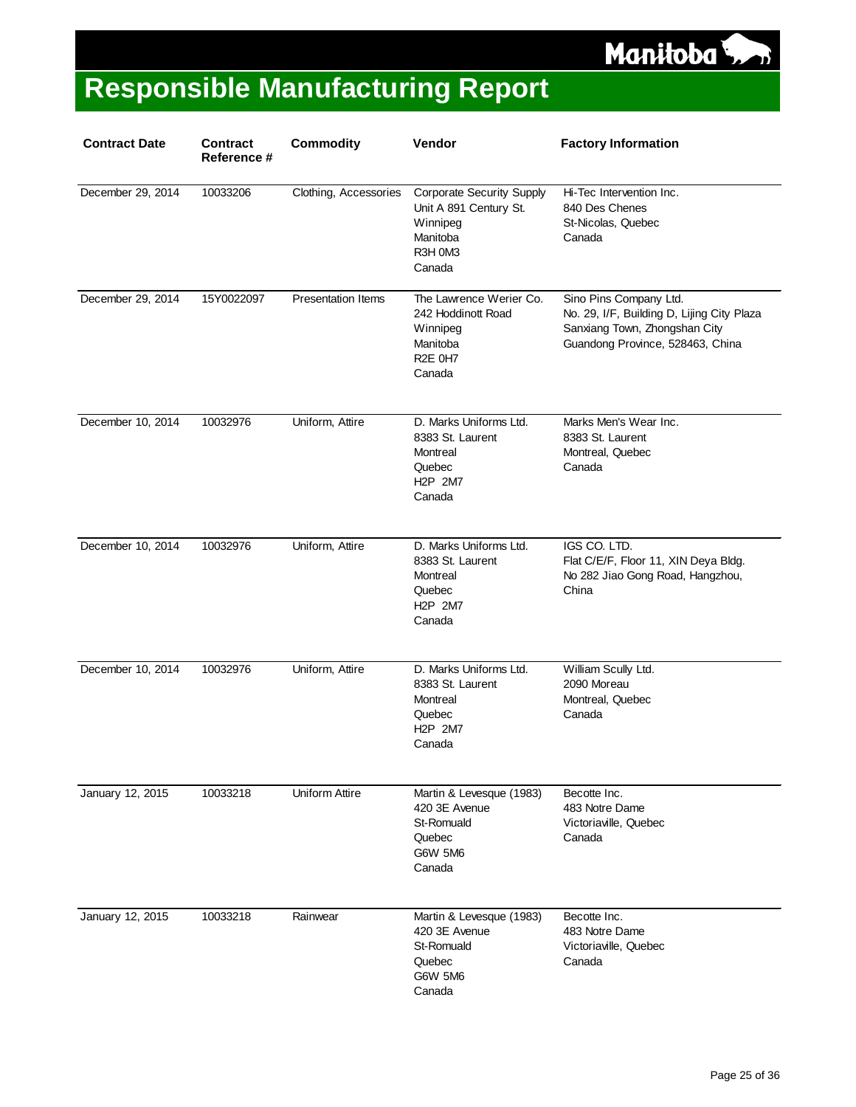

| <b>Contract Date</b> | <b>Contract</b><br>Reference # | <b>Commodity</b>          | Vendor                                                                                                              | <b>Factory Information</b>                                                                                                                |
|----------------------|--------------------------------|---------------------------|---------------------------------------------------------------------------------------------------------------------|-------------------------------------------------------------------------------------------------------------------------------------------|
| December 29, 2014    | 10033206                       | Clothing, Accessories     | <b>Corporate Security Supply</b><br>Unit A 891 Century St.<br>Winnipeg<br>Manitoba<br>R3H 0M3<br>Canada             | Hi-Tec Intervention Inc.<br>840 Des Chenes<br>St-Nicolas, Quebec<br>Canada                                                                |
| December 29, 2014    | 15Y0022097                     | <b>Presentation Items</b> | The Lawrence Werier Co.<br>242 Hoddinott Road<br>Winnipeg<br>Manitoba<br>R <sub>2</sub> E 0H <sub>7</sub><br>Canada | Sino Pins Company Ltd.<br>No. 29, I/F, Building D, Lijing City Plaza<br>Sanxiang Town, Zhongshan City<br>Guandong Province, 528463, China |
| December 10, 2014    | 10032976                       | Uniform, Attire           | D. Marks Uniforms Ltd.<br>8383 St. Laurent<br>Montreal<br>Quebec<br>H <sub>2</sub> P 2M7<br>Canada                  | Marks Men's Wear Inc.<br>8383 St. Laurent<br>Montreal, Quebec<br>Canada                                                                   |
| December 10, 2014    | 10032976                       | Uniform, Attire           | D. Marks Uniforms Ltd.<br>8383 St. Laurent<br>Montreal<br>Quebec<br>H <sub>2</sub> P 2M7<br>Canada                  | IGS CO. LTD.<br>Flat C/E/F, Floor 11, XIN Deya Bldg.<br>No 282 Jiao Gong Road, Hangzhou,<br>China                                         |
| December 10, 2014    | 10032976                       | Uniform, Attire           | D. Marks Uniforms Ltd.<br>8383 St. Laurent<br>Montreal<br>Quebec<br>H <sub>2</sub> P 2M7<br>Canada                  | William Scully Ltd.<br>2090 Moreau<br>Montreal, Quebec<br>Canada                                                                          |
| January 12, 2015     | 10033218                       | Uniform Attire            | Martin & Levesque (1983)<br>420 3E Avenue<br>St-Romuald<br>Quebec<br><b>G6W 5M6</b><br>Canada                       | Becotte Inc.<br>483 Notre Dame<br>Victoriaville, Quebec<br>Canada                                                                         |
| January 12, 2015     | 10033218                       | Rainwear                  | Martin & Levesque (1983)<br>420 3E Avenue<br>St-Romuald<br>Quebec<br><b>G6W 5M6</b><br>Canada                       | Becotte Inc.<br>483 Notre Dame<br>Victoriaville, Quebec<br>Canada                                                                         |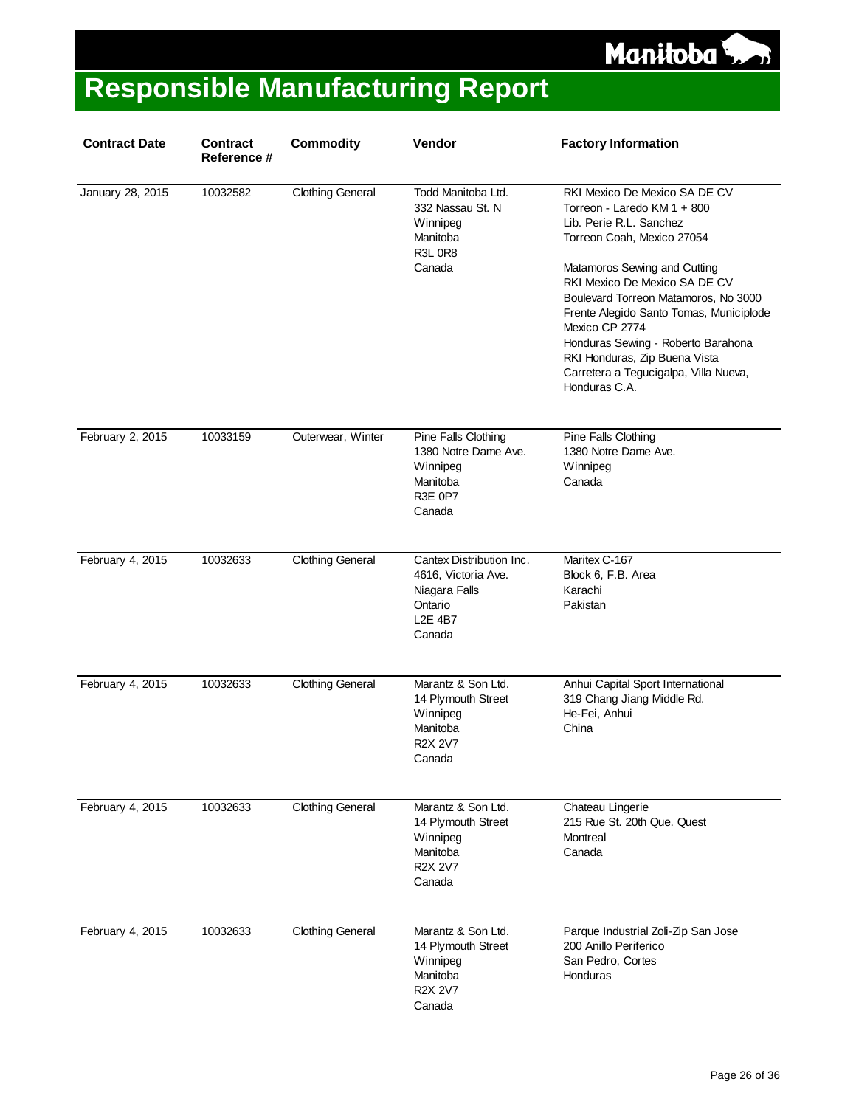

| <b>Contract Date</b> | <b>Contract</b><br>Reference # | <b>Commodity</b>        | Vendor                                                                                                  | <b>Factory Information</b>                                                                                                                                                                                                                                                                                                                                                                                                   |
|----------------------|--------------------------------|-------------------------|---------------------------------------------------------------------------------------------------------|------------------------------------------------------------------------------------------------------------------------------------------------------------------------------------------------------------------------------------------------------------------------------------------------------------------------------------------------------------------------------------------------------------------------------|
| January 28, 2015     | 10032582                       | <b>Clothing General</b> | Todd Manitoba Ltd.<br>332 Nassau St. N<br>Winnipeg<br>Manitoba<br><b>R3L 0R8</b><br>Canada              | RKI Mexico De Mexico SA DE CV<br>Torreon - Laredo KM 1 + 800<br>Lib. Perie R.L. Sanchez<br>Torreon Coah, Mexico 27054<br>Matamoros Sewing and Cutting<br>RKI Mexico De Mexico SA DE CV<br>Boulevard Torreon Matamoros, No 3000<br>Frente Alegido Santo Tomas, Municiplode<br>Mexico CP 2774<br>Honduras Sewing - Roberto Barahona<br>RKI Honduras, Zip Buena Vista<br>Carretera a Tegucigalpa, Villa Nueva,<br>Honduras C.A. |
| February 2, 2015     | 10033159                       | Outerwear, Winter       | Pine Falls Clothing<br>1380 Notre Dame Ave.<br>Winnipeg<br>Manitoba<br>R3E 0P7<br>Canada                | Pine Falls Clothing<br>1380 Notre Dame Ave.<br>Winnipeg<br>Canada                                                                                                                                                                                                                                                                                                                                                            |
| February 4, 2015     | 10032633                       | <b>Clothing General</b> | Cantex Distribution Inc.<br>4616, Victoria Ave.<br>Niagara Falls<br>Ontario<br><b>L2E 4B7</b><br>Canada | Maritex C-167<br>Block 6, F.B. Area<br>Karachi<br>Pakistan                                                                                                                                                                                                                                                                                                                                                                   |
| February 4, 2015     | 10032633                       | <b>Clothing General</b> | Marantz & Son Ltd.<br>14 Plymouth Street<br>Winnipeg<br>Manitoba<br><b>R2X 2V7</b><br>Canada            | Anhui Capital Sport International<br>319 Chang Jiang Middle Rd.<br>He-Fei, Anhui<br>China                                                                                                                                                                                                                                                                                                                                    |
| February 4, 2015     | 10032633                       | <b>Clothing General</b> | Marantz & Son Ltd.<br>14 Plymouth Street<br>Winnipeg<br>Manitoba<br><b>R2X 2V7</b><br>Canada            | Chateau Lingerie<br>215 Rue St. 20th Que. Quest<br>Montreal<br>Canada                                                                                                                                                                                                                                                                                                                                                        |
| February 4, 2015     | 10032633                       | <b>Clothing General</b> | Marantz & Son Ltd.<br>14 Plymouth Street<br>Winnipeg<br>Manitoba<br><b>R2X 2V7</b><br>Canada            | Parque Industrial Zoli-Zip San Jose<br>200 Anillo Periferico<br>San Pedro, Cortes<br>Honduras                                                                                                                                                                                                                                                                                                                                |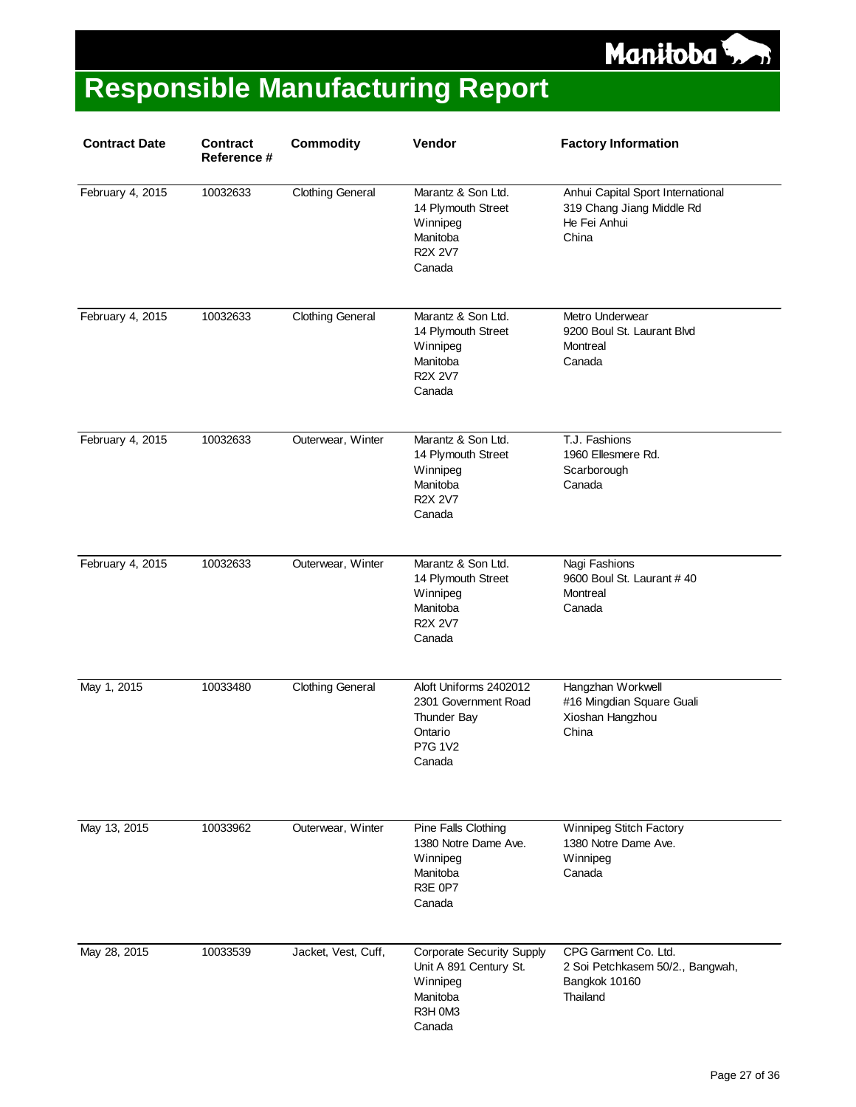

| <b>Contract Date</b> | <b>Contract</b><br>Reference # | <b>Commodity</b>        | Vendor                                                                                                  | <b>Factory Information</b>                                                              |
|----------------------|--------------------------------|-------------------------|---------------------------------------------------------------------------------------------------------|-----------------------------------------------------------------------------------------|
| February 4, 2015     | 10032633                       | <b>Clothing General</b> | Marantz & Son Ltd.<br>14 Plymouth Street<br>Winnipeg<br>Manitoba<br><b>R2X 2V7</b><br>Canada            | Anhui Capital Sport International<br>319 Chang Jiang Middle Rd<br>He Fei Anhui<br>China |
| February 4, 2015     | 10032633                       | <b>Clothing General</b> | Marantz & Son Ltd.<br>14 Plymouth Street<br>Winnipeg<br>Manitoba<br><b>R2X 2V7</b><br>Canada            | Metro Underwear<br>9200 Boul St. Laurant Blvd<br>Montreal<br>Canada                     |
| February 4, 2015     | 10032633                       | Outerwear, Winter       | Marantz & Son Ltd.<br>14 Plymouth Street<br>Winnipeg<br>Manitoba<br><b>R2X 2V7</b><br>Canada            | T.J. Fashions<br>1960 Ellesmere Rd.<br>Scarborough<br>Canada                            |
| February 4, 2015     | 10032633                       | Outerwear, Winter       | Marantz & Son Ltd.<br>14 Plymouth Street<br>Winnipeg<br>Manitoba<br><b>R2X 2V7</b><br>Canada            | Nagi Fashions<br>9600 Boul St. Laurant #40<br>Montreal<br>Canada                        |
| May 1, 2015          | 10033480                       | <b>Clothing General</b> | Aloft Uniforms 2402012<br>2301 Government Road<br>Thunder Bay<br>Ontario<br>P7G 1V2<br>Canada           | Hangzhan Workwell<br>#16 Mingdian Square Guali<br>Xioshan Hangzhou<br>China             |
| May 13, 2015         | 10033962                       | Outerwear, Winter       | Pine Falls Clothing<br>1380 Notre Dame Ave.<br>Winnipeg<br>Manitoba<br><b>R3E 0P7</b><br>Canada         | Winnipeg Stitch Factory<br>1380 Notre Dame Ave.<br>Winnipeg<br>Canada                   |
| May 28, 2015         | 10033539                       | Jacket, Vest, Cuff,     | <b>Corporate Security Supply</b><br>Unit A 891 Century St.<br>Winnipeg<br>Manitoba<br>R3H 0M3<br>Canada | CPG Garment Co. Ltd.<br>2 Soi Petchkasem 50/2., Bangwah,<br>Bangkok 10160<br>Thailand   |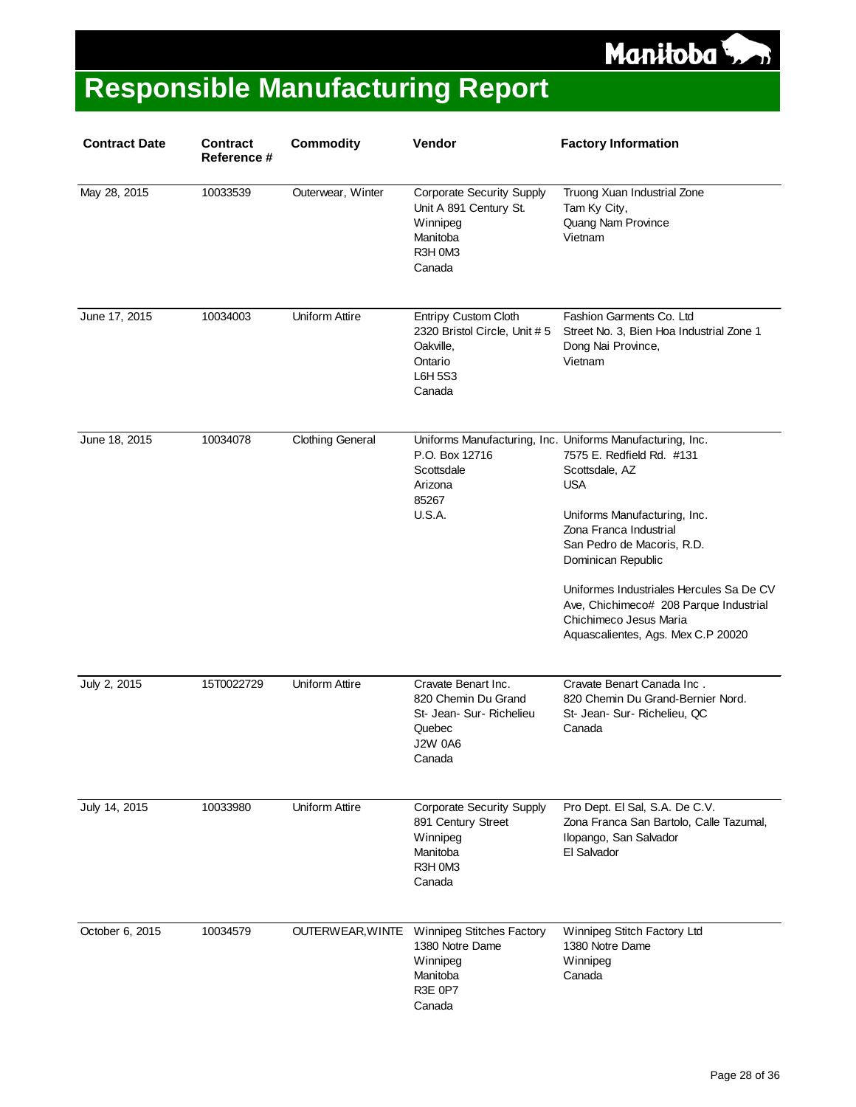

| <b>Contract Date</b> | <b>Contract</b><br>Reference # | <b>Commodity</b>        | Vendor                                                                                                       | <b>Factory Information</b>                                                                                                                                                                                                                                                                                                                           |
|----------------------|--------------------------------|-------------------------|--------------------------------------------------------------------------------------------------------------|------------------------------------------------------------------------------------------------------------------------------------------------------------------------------------------------------------------------------------------------------------------------------------------------------------------------------------------------------|
| May 28, 2015         | 10033539                       | Outerwear, Winter       | <b>Corporate Security Supply</b><br>Unit A 891 Century St.<br>Winnipeg<br>Manitoba<br>R3H 0M3<br>Canada      | Truong Xuan Industrial Zone<br>Tam Ky City,<br>Quang Nam Province<br>Vietnam                                                                                                                                                                                                                                                                         |
| June 17, 2015        | 10034003                       | <b>Uniform Attire</b>   | <b>Entripy Custom Cloth</b><br>2320 Bristol Circle, Unit #5<br>Oakville,<br>Ontario<br>L6H 5S3<br>Canada     | Fashion Garments Co. Ltd<br>Street No. 3, Bien Hoa Industrial Zone 1<br>Dong Nai Province,<br>Vietnam                                                                                                                                                                                                                                                |
| June 18, 2015        | 10034078                       | <b>Clothing General</b> | P.O. Box 12716<br>Scottsdale<br>Arizona<br>85267<br><b>U.S.A.</b>                                            | Uniforms Manufacturing, Inc. Uniforms Manufacturing, Inc.<br>7575 E. Redfield Rd. #131<br>Scottsdale, AZ<br><b>USA</b><br>Uniforms Manufacturing, Inc.<br>Zona Franca Industrial<br>San Pedro de Macoris, R.D.<br>Dominican Republic<br>Uniformes Industriales Hercules Sa De CV<br>Ave, Chichimeco# 208 Parque Industrial<br>Chichimeco Jesus Maria |
|                      |                                |                         |                                                                                                              | Aquascalientes, Ags. Mex C.P 20020                                                                                                                                                                                                                                                                                                                   |
| July 2, 2015         | 15T0022729                     | <b>Uniform Attire</b>   | Cravate Benart Inc.<br>820 Chemin Du Grand<br>St- Jean- Sur- Richelieu<br>Quebec<br><b>J2W 0A6</b><br>Canada | Cravate Benart Canada Inc.<br>820 Chemin Du Grand-Bernier Nord.<br>St- Jean- Sur- Richelieu, QC<br>Canada                                                                                                                                                                                                                                            |
| July 14, 2015        | 10033980                       | <b>Uniform Attire</b>   | <b>Corporate Security Supply</b><br>891 Century Street<br>Winnipeg<br>Manitoba<br>R3H 0M3<br>Canada          | Pro Dept. El Sal, S.A. De C.V.<br>Zona Franca San Bartolo, Calle Tazumal,<br>Ilopango, San Salvador<br>El Salvador                                                                                                                                                                                                                                   |
| October 6, 2015      | 10034579                       | OUTERWEAR, WINTE        | Winnipeg Stitches Factory<br>1380 Notre Dame<br>Winnipeg<br>Manitoba<br>R3E 0P7<br>Canada                    | Winnipeg Stitch Factory Ltd<br>1380 Notre Dame<br>Winnipeg<br>Canada                                                                                                                                                                                                                                                                                 |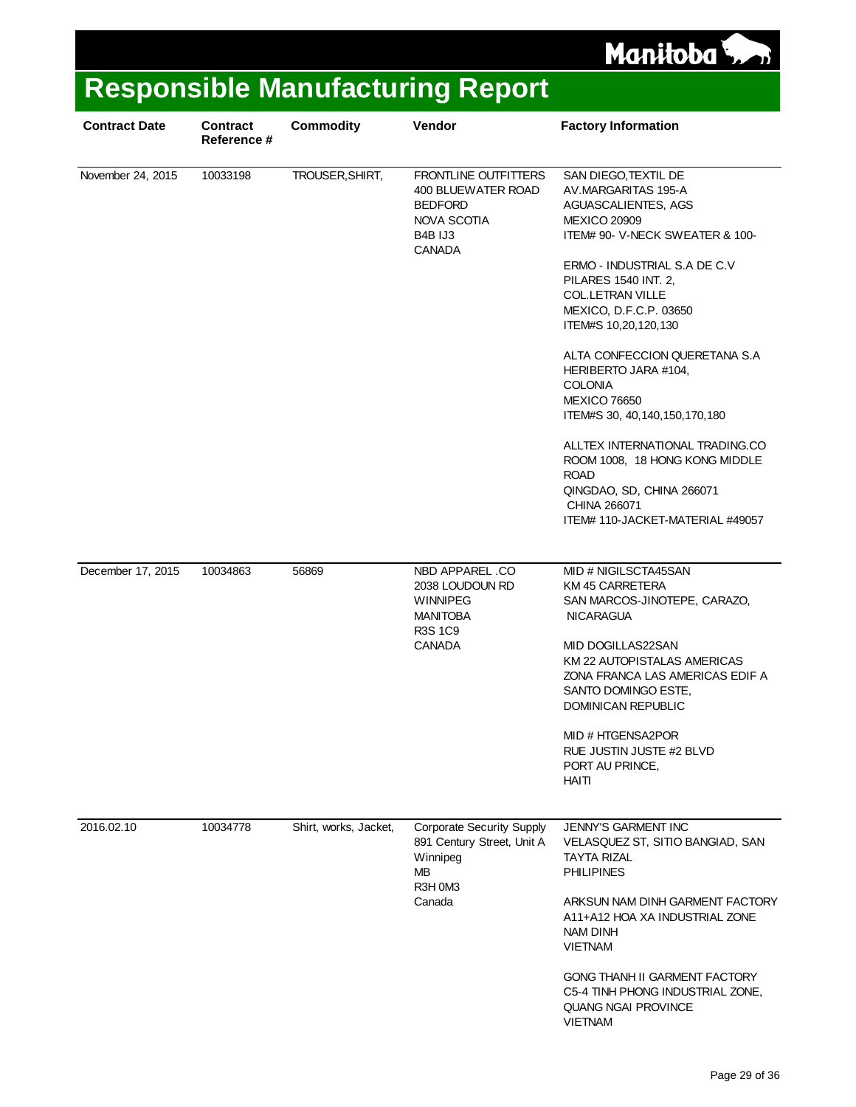

| <b>Contract Date</b> | <b>Contract</b><br>Reference # | <b>Commodity</b>      | Vendor                                                                                                       | <b>Factory Information</b>                                                                                                                                                                                                                                                                                                                                                                                                                                                                                                                                                    |
|----------------------|--------------------------------|-----------------------|--------------------------------------------------------------------------------------------------------------|-------------------------------------------------------------------------------------------------------------------------------------------------------------------------------------------------------------------------------------------------------------------------------------------------------------------------------------------------------------------------------------------------------------------------------------------------------------------------------------------------------------------------------------------------------------------------------|
| November 24, 2015    | 10033198                       | TROUSER, SHIRT,       | FRONTLINE OUTFITTERS<br>400 BLUEWATER ROAD<br><b>BEDFORD</b><br>NOVA SCOTIA<br>B4B IJ3<br><b>CANADA</b>      | SAN DIEGO, TEXTIL DE<br>AV.MARGARITAS 195-A<br>AGUASCALIENTES, AGS<br><b>MEXICO 20909</b><br>ITEM# 90- V-NECK SWEATER & 100-<br>ERMO - INDUSTRIAL S.A DE C.V<br>PILARES 1540 INT. 2,<br><b>COL.LETRAN VILLE</b><br>MEXICO, D.F.C.P. 03650<br>ITEM#S 10,20,120,130<br>ALTA CONFECCION QUERETANA S.A<br>HERIBERTO JARA #104,<br><b>COLONIA</b><br><b>MEXICO 76650</b><br>ITEM#S 30, 40, 140, 150, 170, 180<br>ALLTEX INTERNATIONAL TRADING.CO<br>ROOM 1008, 18 HONG KONG MIDDLE<br><b>ROAD</b><br>QINGDAO, SD, CHINA 266071<br>CHINA 266071<br>ITEM# 110-JACKET-MATERIAL #49057 |
|                      |                                |                       |                                                                                                              |                                                                                                                                                                                                                                                                                                                                                                                                                                                                                                                                                                               |
| December 17, 2015    | 10034863                       | 56869                 | NBD APPAREL .CO<br>2038 LOUDOUN RD<br><b>WINNIPEG</b><br><b>MANITOBA</b><br>R3S 1C9<br><b>CANADA</b>         | MID # NIGILSCTA45SAN<br>KM 45 CARRETERA<br>SAN MARCOS-JINOTEPE, CARAZO,<br><b>NICARAGUA</b><br>MID DOGILLAS22SAN<br>KM 22 AUTOPISTALAS AMERICAS<br>ZONA FRANCA LAS AMERICAS EDIF A<br>SANTO DOMINGO ESTE,<br>DOMINICAN REPUBLIC<br>MID # HTGENSA2POR<br>RUE JUSTIN JUSTE #2 BLVD<br>PORT AU PRINCE,<br><b>HAITI</b>                                                                                                                                                                                                                                                           |
| 2016.02.10           | 10034778                       | Shirt, works, Jacket, | <b>Corporate Security Supply</b><br>891 Century Street, Unit A<br>Winnipeg<br><b>MB</b><br>R3H 0M3<br>Canada | JENNY'S GARMENT INC<br>VELASQUEZ ST, SITIO BANGIAD, SAN<br>TAYTA RIZAL<br><b>PHILIPINES</b><br>ARKSUN NAM DINH GARMENT FACTORY<br>A11+A12 HOA XA INDUSTRIAL ZONE<br>NAM DINH<br><b>VIETNAM</b><br>GONG THANH II GARMENT FACTORY<br>C5-4 TINH PHONG INDUSTRIAL ZONE,<br><b>QUANG NGAI PROVINCE</b><br><b>VIETNAM</b>                                                                                                                                                                                                                                                           |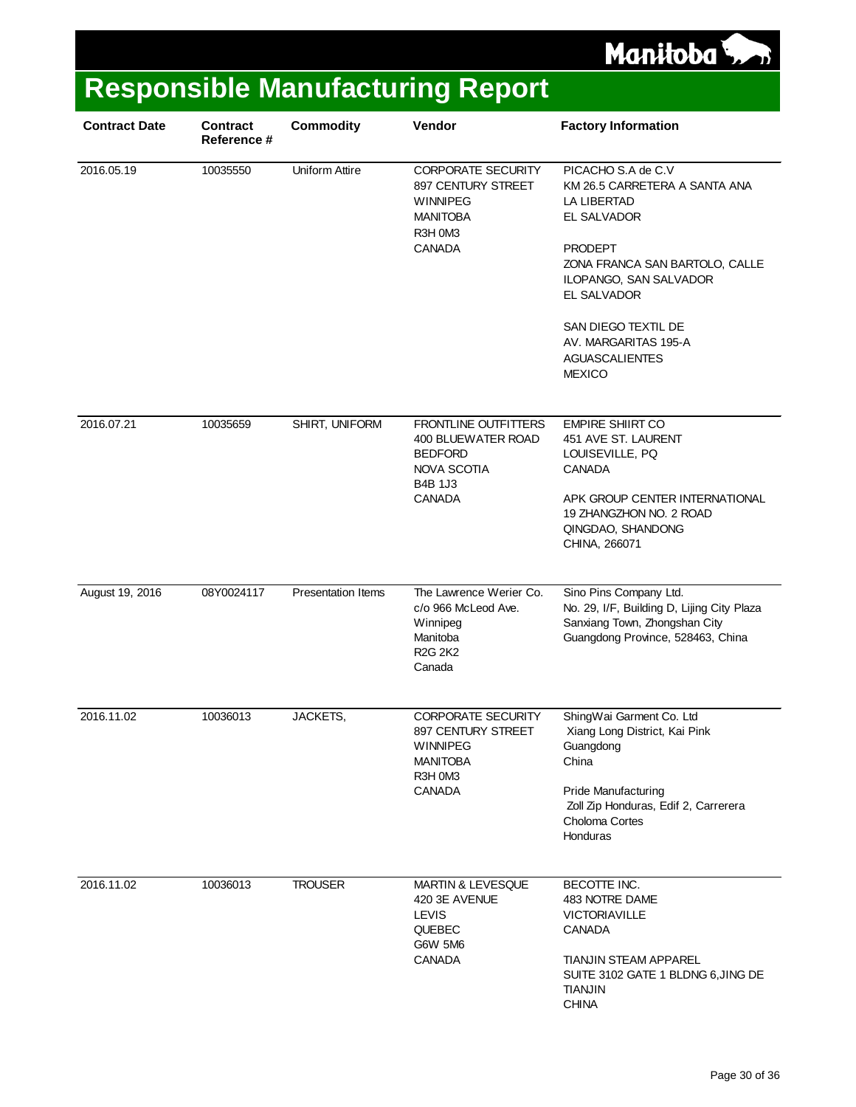

| <b>Contract Date</b> | <b>Contract</b><br>Reference # | <b>Commodity</b>          | Vendor                                                                                                                | <b>Factory Information</b>                                                                                                                                                                                                                                              |
|----------------------|--------------------------------|---------------------------|-----------------------------------------------------------------------------------------------------------------------|-------------------------------------------------------------------------------------------------------------------------------------------------------------------------------------------------------------------------------------------------------------------------|
| 2016.05.19           | 10035550                       | <b>Uniform Attire</b>     | CORPORATE SECURITY<br>897 CENTURY STREET<br><b>WINNIPEG</b><br><b>MANITOBA</b><br>R3H 0M3<br><b>CANADA</b>            | PICACHO S.A de C.V<br>KM 26.5 CARRETERA A SANTA ANA<br><b>LA LIBERTAD</b><br>EL SALVADOR<br>PRODEPT<br>ZONA FRANCA SAN BARTOLO, CALLE<br>ILOPANGO, SAN SALVADOR<br>EL SALVADOR<br>SAN DIEGO TEXTIL DE<br>AV. MARGARITAS 195-A<br><b>AGUASCALIENTES</b><br><b>MEXICO</b> |
| 2016.07.21           | 10035659                       | SHIRT, UNIFORM            | FRONTLINE OUTFITTERS<br>400 BLUEWATER ROAD<br><b>BEDFORD</b><br><b>NOVA SCOTIA</b><br><b>B4B 1J3</b><br><b>CANADA</b> | <b>EMPIRE SHIIRT CO</b><br>451 AVE ST. LAURENT<br>LOUISEVILLE, PQ<br><b>CANADA</b><br>APK GROUP CENTER INTERNATIONAL<br>19 ZHANGZHON NO. 2 ROAD<br>QINGDAO, SHANDONG<br>CHINA, 266071                                                                                   |
| August 19, 2016      | 08Y0024117                     | <b>Presentation Items</b> | The Lawrence Werier Co.<br>c/o 966 McLeod Ave.<br>Winnipeg<br>Manitoba<br><b>R2G 2K2</b><br>Canada                    | Sino Pins Company Ltd.<br>No. 29, I/F, Building D, Lijing City Plaza<br>Sanxiang Town, Zhongshan City<br>Guangdong Province, 528463, China                                                                                                                              |
| 2016.11.02           | 10036013                       | JACKETS,                  | <b>CORPORATE SECURITY</b><br>897 CENTURY STREET<br><b>WINNIPEG</b><br><b>MANITOBA</b><br>R3H 0M3<br><b>CANADA</b>     | ShingWai Garment Co. Ltd<br>Xiang Long District, Kai Pink<br>Guangdong<br>China<br><b>Pride Manufacturing</b><br>Zoll Zip Honduras, Edif 2, Carrerera<br>Choloma Cortes<br>Honduras                                                                                     |
| 2016.11.02           | 10036013                       | <b>TROUSER</b>            | <b>MARTIN &amp; LEVESQUE</b><br>420 3E AVENUE<br><b>LEVIS</b><br><b>QUEBEC</b><br>G6W 5M6<br>CANADA                   | BECOTTE INC.<br>483 NOTRE DAME<br><b>VICTORIAVILLE</b><br><b>CANADA</b><br><b>TIANJIN STEAM APPAREL</b><br>SUITE 3102 GATE 1 BLDNG 6, JING DE<br><b>TIANJIN</b><br><b>CHINA</b>                                                                                         |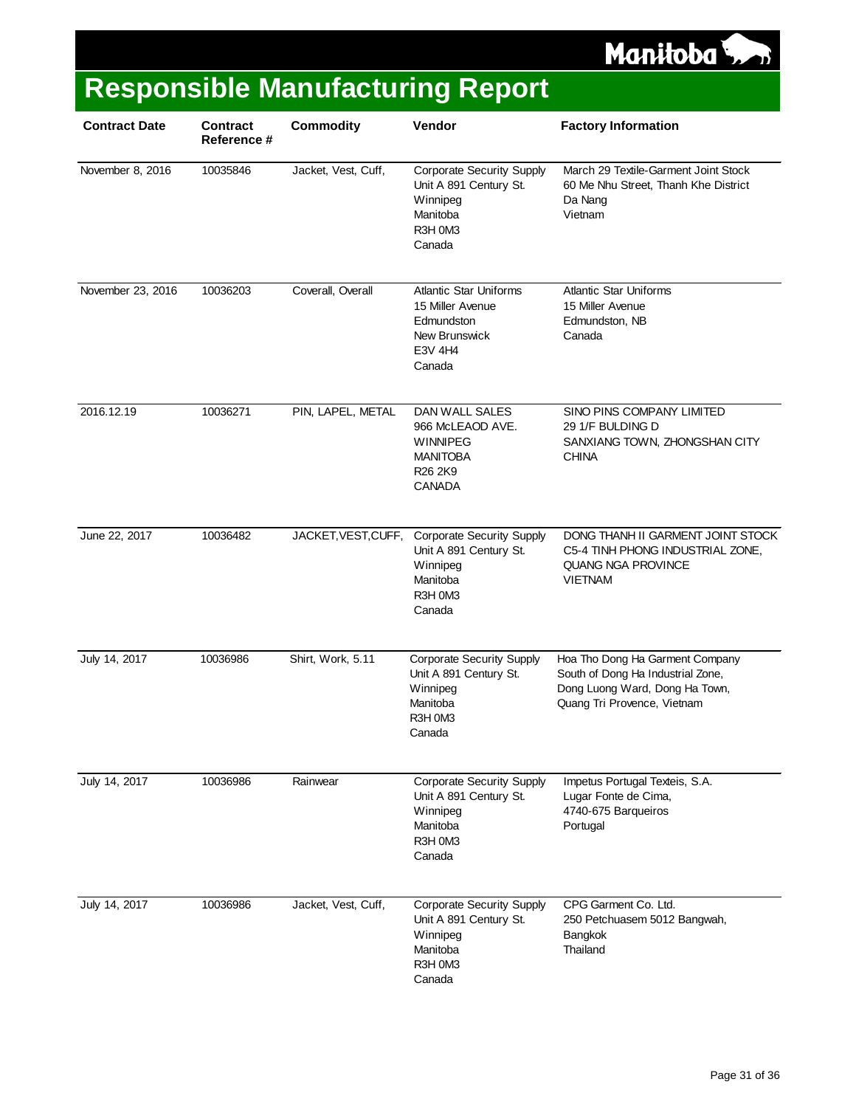

| <b>Contract Date</b> | <b>Contract</b><br>Reference # | <b>Commodity</b>    | Vendor                                                                                                  | <b>Factory Information</b>                                                                                                            |
|----------------------|--------------------------------|---------------------|---------------------------------------------------------------------------------------------------------|---------------------------------------------------------------------------------------------------------------------------------------|
| November 8, 2016     | 10035846                       | Jacket, Vest, Cuff, | <b>Corporate Security Supply</b><br>Unit A 891 Century St.<br>Winnipeg<br>Manitoba<br>R3H 0M3<br>Canada | March 29 Textile-Garment Joint Stock<br>60 Me Nhu Street, Thanh Khe District<br>Da Nang<br>Vietnam                                    |
| November 23, 2016    | 10036203                       | Coverall, Overall   | <b>Atlantic Star Uniforms</b><br>15 Miller Avenue<br>Edmundston<br>New Brunswick<br>E3V 4H4<br>Canada   | <b>Atlantic Star Uniforms</b><br>15 Miller Avenue<br>Edmundston, NB<br>Canada                                                         |
| 2016.12.19           | 10036271                       | PIN, LAPEL, METAL   | DAN WALL SALES<br>966 McLEAOD AVE.<br><b>WINNIPEG</b><br><b>MANITOBA</b><br>R26 2K9<br>CANADA           | SINO PINS COMPANY LIMITED<br>29 1/F BULDING D<br>SANXIANG TOWN, ZHONGSHAN CITY<br><b>CHINA</b>                                        |
| June 22, 2017        | 10036482                       | JACKET, VEST, CUFF, | <b>Corporate Security Supply</b><br>Unit A 891 Century St.<br>Winnipeg<br>Manitoba<br>R3H 0M3<br>Canada | DONG THANH II GARMENT JOINT STOCK<br>C5-4 TINH PHONG INDUSTRIAL ZONE,<br><b>QUANG NGA PROVINCE</b><br><b>VIETNAM</b>                  |
| July 14, 2017        | 10036986                       | Shirt, Work, 5.11   | <b>Corporate Security Supply</b><br>Unit A 891 Century St.<br>Winnipeg<br>Manitoba<br>R3H 0M3<br>Canada | Hoa Tho Dong Ha Garment Company<br>South of Dong Ha Industrial Zone,<br>Dong Luong Ward, Dong Ha Town,<br>Quang Tri Provence, Vietnam |
| July 14, 2017        | 10036986                       | Rainwear            | <b>Corporate Security Supply</b><br>Unit A 891 Century St.<br>Winnipeg<br>Manitoba<br>R3H 0M3<br>Canada | Impetus Portugal Texteis, S.A.<br>Lugar Fonte de Cima,<br>4740-675 Barqueiros<br>Portugal                                             |
| July 14, 2017        | 10036986                       | Jacket, Vest, Cuff, | <b>Corporate Security Supply</b><br>Unit A 891 Century St.<br>Winnipeg<br>Manitoba<br>R3H 0M3<br>Canada | CPG Garment Co. Ltd.<br>250 Petchuasem 5012 Bangwah,<br>Bangkok<br>Thailand                                                           |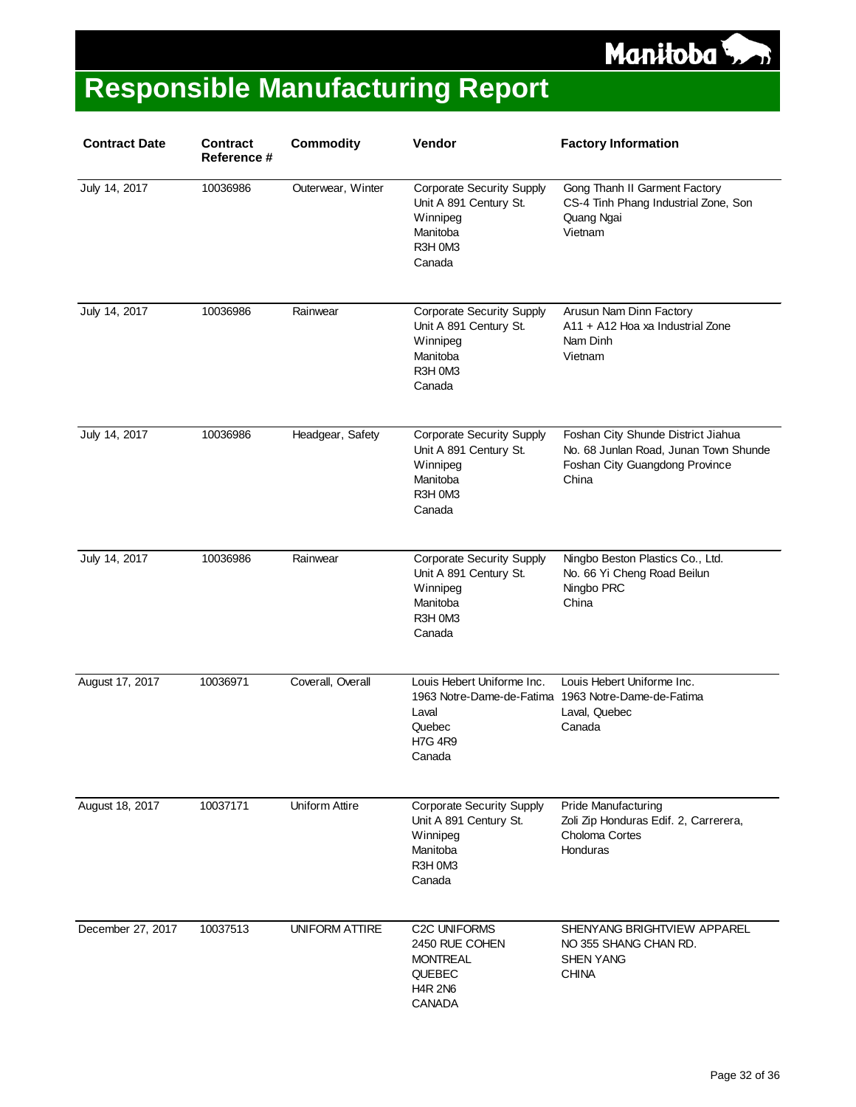

| <b>Contract Date</b> | <b>Contract</b><br><b>Reference #</b> | <b>Commodity</b>      | Vendor                                                                                                  | <b>Factory Information</b>                                                                                             |
|----------------------|---------------------------------------|-----------------------|---------------------------------------------------------------------------------------------------------|------------------------------------------------------------------------------------------------------------------------|
| July 14, 2017        | 10036986                              | Outerwear, Winter     | <b>Corporate Security Supply</b><br>Unit A 891 Century St.<br>Winnipeg<br>Manitoba<br>R3H 0M3<br>Canada | Gong Thanh II Garment Factory<br>CS-4 Tinh Phang Industrial Zone, Son<br>Quang Ngai<br>Vietnam                         |
| July 14, 2017        | 10036986                              | Rainwear              | <b>Corporate Security Supply</b><br>Unit A 891 Century St.<br>Winnipeg<br>Manitoba<br>R3H 0M3<br>Canada | Arusun Nam Dinn Factory<br>A11 + A12 Hoa xa Industrial Zone<br>Nam Dinh<br>Vietnam                                     |
| July 14, 2017        | 10036986                              | Headgear, Safety      | <b>Corporate Security Supply</b><br>Unit A 891 Century St.<br>Winnipeg<br>Manitoba<br>R3H 0M3<br>Canada | Foshan City Shunde District Jiahua<br>No. 68 Junlan Road, Junan Town Shunde<br>Foshan City Guangdong Province<br>China |
| July 14, 2017        | 10036986                              | Rainwear              | <b>Corporate Security Supply</b><br>Unit A 891 Century St.<br>Winnipeg<br>Manitoba<br>R3H 0M3<br>Canada | Ningbo Beston Plastics Co., Ltd.<br>No. 66 Yi Cheng Road Beilun<br>Ningbo PRC<br>China                                 |
| August 17, 2017      | 10036971                              | Coverall, Overall     | Louis Hebert Uniforme Inc.<br>1963 Notre-Dame-de-Fatima<br>Laval<br>Quebec<br><b>H7G 4R9</b><br>Canada  | Louis Hebert Uniforme Inc.<br>1963 Notre-Dame-de-Fatima<br>Laval, Quebec<br>Canada                                     |
| August 18, 2017      | 10037171                              | Uniform Attire        | <b>Corporate Security Supply</b><br>Unit A 891 Century St.<br>Winnipeg<br>Manitoba<br>R3H 0M3<br>Canada | Pride Manufacturing<br>Zoli Zip Honduras Edif. 2, Carrerera,<br>Choloma Cortes<br>Honduras                             |
| December 27, 2017    | 10037513                              | <b>UNIFORM ATTIRE</b> | C2C UNIFORMS<br>2450 RUE COHEN<br><b>MONTREAL</b><br><b>QUEBEC</b><br><b>H4R 2N6</b><br>CANADA          | SHENYANG BRIGHTVIEW APPAREL<br>NO 355 SHANG CHAN RD.<br><b>SHEN YANG</b><br><b>CHINA</b>                               |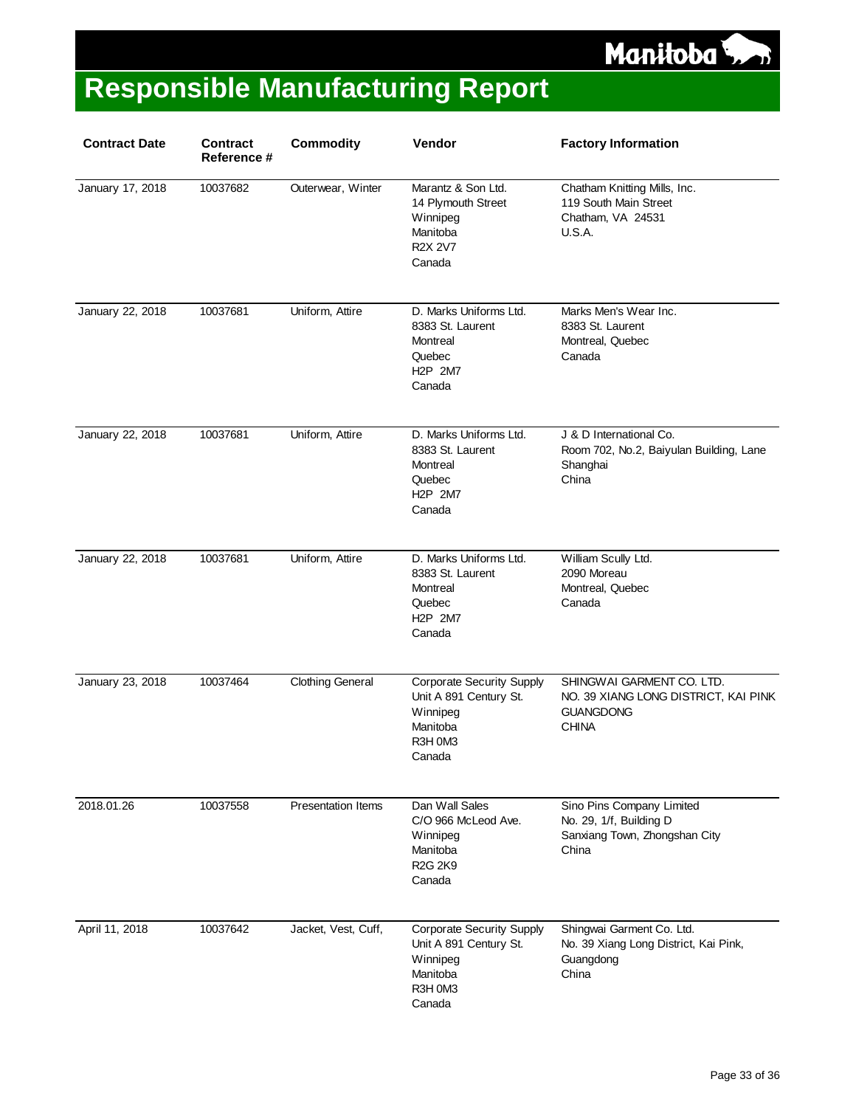

| <b>Contract Date</b> | <b>Contract</b><br>Reference # | <b>Commodity</b>          | Vendor                                                                                                                  | <b>Factory Information</b>                                                                            |
|----------------------|--------------------------------|---------------------------|-------------------------------------------------------------------------------------------------------------------------|-------------------------------------------------------------------------------------------------------|
| January 17, 2018     | 10037682                       | Outerwear, Winter         | Marantz & Son Ltd.<br>14 Plymouth Street<br>Winnipeg<br>Manitoba<br><b>R2X 2V7</b><br>Canada                            | Chatham Knitting Mills, Inc.<br>119 South Main Street<br>Chatham, VA 24531<br><b>U.S.A.</b>           |
| January 22, 2018     | 10037681                       | Uniform, Attire           | D. Marks Uniforms Ltd.<br>8383 St. Laurent<br>Montreal<br>Quebec<br>H <sub>2</sub> P 2M7<br>Canada                      | Marks Men's Wear Inc.<br>8383 St. Laurent<br>Montreal, Quebec<br>Canada                               |
| January 22, 2018     | 10037681                       | Uniform, Attire           | D. Marks Uniforms Ltd.<br>8383 St. Laurent<br>Montreal<br>Quebec<br>H <sub>2</sub> P 2M7<br>Canada                      | J & D International Co.<br>Room 702, No.2, Baiyulan Building, Lane<br>Shanghai<br>China               |
| January 22, 2018     | 10037681                       | Uniform, Attire           | D. Marks Uniforms Ltd.<br>8383 St. Laurent<br>Montreal<br>Quebec<br>H <sub>2</sub> P 2M7<br>Canada                      | William Scully Ltd.<br>2090 Moreau<br>Montreal, Quebec<br>Canada                                      |
| January 23, 2018     | 10037464                       | <b>Clothing General</b>   | <b>Corporate Security Supply</b><br>Unit A 891 Century St.<br>Winnipeg<br>Manitoba<br>R3H 0M3<br>Canada                 | SHINGWAI GARMENT CO. LTD.<br>NO. 39 XIANG LONG DISTRICT, KAI PINK<br><b>GUANGDONG</b><br><b>CHINA</b> |
| 2018.01.26           | 10037558                       | <b>Presentation Items</b> | Dan Wall Sales<br>C/O 966 McLeod Ave.<br>Winnipeg<br>Manitoba<br>R <sub>2</sub> G <sub>2</sub> K <sub>9</sub><br>Canada | Sino Pins Company Limited<br>No. 29, 1/f, Building D<br>Sanxiang Town, Zhongshan City<br>China        |
| April 11, 2018       | 10037642                       | Jacket, Vest, Cuff,       | <b>Corporate Security Supply</b><br>Unit A 891 Century St.<br>Winnipeg<br>Manitoba<br>R3H 0M3<br>Canada                 | Shingwai Garment Co. Ltd.<br>No. 39 Xiang Long District, Kai Pink,<br>Guangdong<br>China              |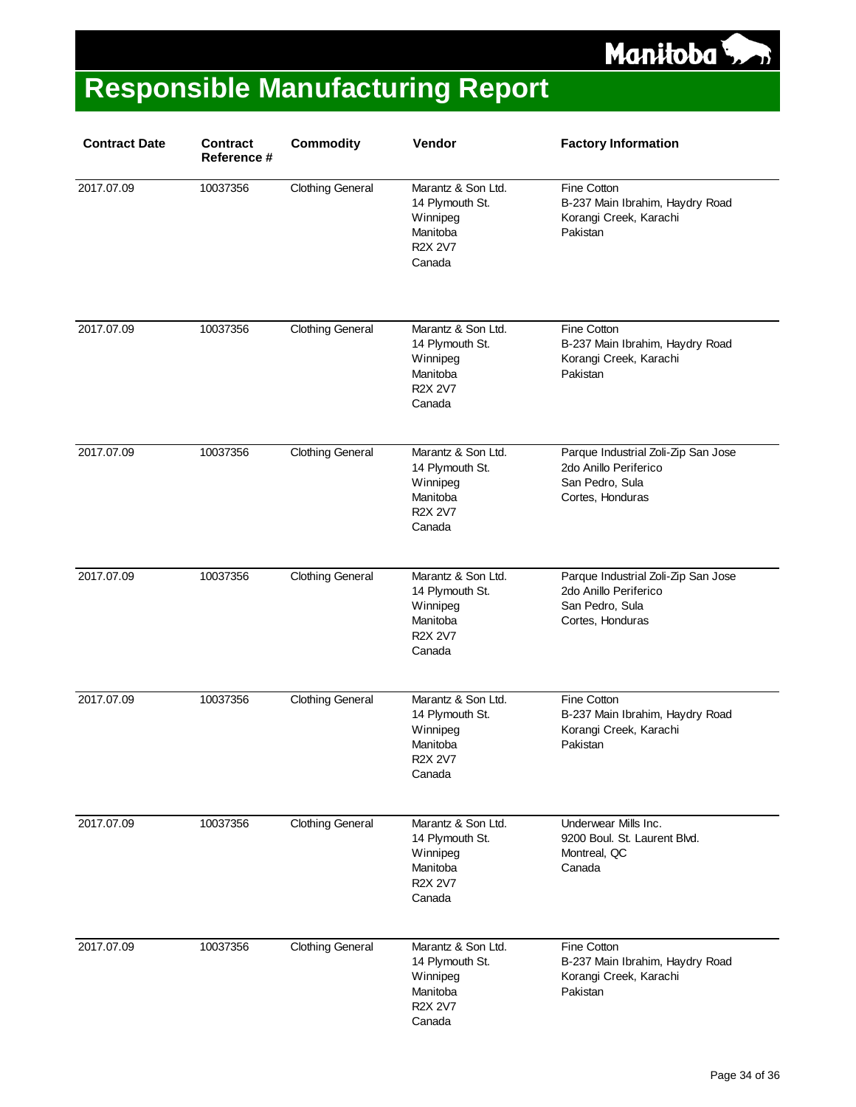

| <b>Contract Date</b> | <b>Contract</b><br>Reference # | <b>Commodity</b>        | Vendor                                                                                    | <b>Factory Information</b>                                                                          |
|----------------------|--------------------------------|-------------------------|-------------------------------------------------------------------------------------------|-----------------------------------------------------------------------------------------------------|
| 2017.07.09           | 10037356                       | <b>Clothing General</b> | Marantz & Son Ltd.<br>14 Plymouth St.<br>Winnipeg<br>Manitoba<br><b>R2X 2V7</b><br>Canada | Fine Cotton<br>B-237 Main Ibrahim, Haydry Road<br>Korangi Creek, Karachi<br>Pakistan                |
| 2017.07.09           | 10037356                       | <b>Clothing General</b> | Marantz & Son Ltd.<br>14 Plymouth St.<br>Winnipeg<br>Manitoba<br><b>R2X 2V7</b><br>Canada | Fine Cotton<br>B-237 Main Ibrahim, Haydry Road<br>Korangi Creek, Karachi<br>Pakistan                |
| 2017.07.09           | 10037356                       | <b>Clothing General</b> | Marantz & Son Ltd.<br>14 Plymouth St.<br>Winnipeg<br>Manitoba<br><b>R2X 2V7</b><br>Canada | Parque Industrial Zoli-Zip San Jose<br>2do Anillo Periferico<br>San Pedro, Sula<br>Cortes, Honduras |
| 2017.07.09           | 10037356                       | <b>Clothing General</b> | Marantz & Son Ltd.<br>14 Plymouth St.<br>Winnipeg<br>Manitoba<br>R2X 2V7<br>Canada        | Parque Industrial Zoli-Zip San Jose<br>2do Anillo Periferico<br>San Pedro, Sula<br>Cortes, Honduras |
| 2017.07.09           | 10037356                       | <b>Clothing General</b> | Marantz & Son Ltd.<br>14 Plymouth St.<br>Winnipeg<br>Manitoba<br><b>R2X 2V7</b><br>Canada | Fine Cotton<br>B-237 Main Ibrahim, Haydry Road<br>Korangi Creek, Karachi<br>Pakistan                |
| 2017.07.09           | 10037356                       | <b>Clothing General</b> | Marantz & Son Ltd.<br>14 Plymouth St.<br>Winnipeg<br>Manitoba<br><b>R2X 2V7</b><br>Canada | Underwear Mills Inc.<br>9200 Boul. St. Laurent Blvd.<br>Montreal, QC<br>Canada                      |
| 2017.07.09           | 10037356                       | <b>Clothing General</b> | Marantz & Son Ltd.<br>14 Plymouth St.<br>Winnipeg<br>Manitoba<br><b>R2X 2V7</b><br>Canada | Fine Cotton<br>B-237 Main Ibrahim, Haydry Road<br>Korangi Creek, Karachi<br>Pakistan                |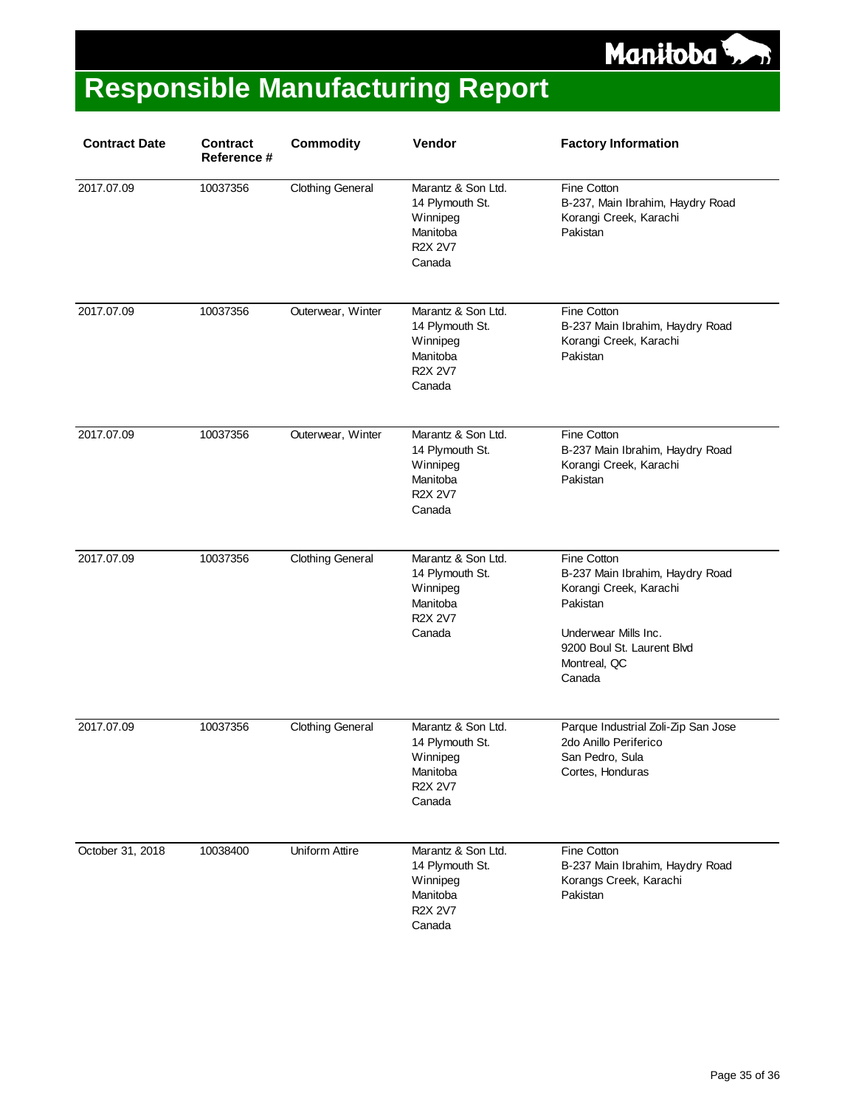

| <b>Contract Date</b> | <b>Contract</b><br>Reference # | <b>Commodity</b>        | Vendor                                                                                    | <b>Factory Information</b>                                                                                                                                           |
|----------------------|--------------------------------|-------------------------|-------------------------------------------------------------------------------------------|----------------------------------------------------------------------------------------------------------------------------------------------------------------------|
| 2017.07.09           | 10037356                       | <b>Clothing General</b> | Marantz & Son Ltd.<br>14 Plymouth St.<br>Winnipeg<br>Manitoba<br><b>R2X 2V7</b><br>Canada | Fine Cotton<br>B-237, Main Ibrahim, Haydry Road<br>Korangi Creek, Karachi<br>Pakistan                                                                                |
| 2017.07.09           | 10037356                       | Outerwear, Winter       | Marantz & Son Ltd.<br>14 Plymouth St.<br>Winnipeg<br>Manitoba<br><b>R2X 2V7</b><br>Canada | Fine Cotton<br>B-237 Main Ibrahim, Haydry Road<br>Korangi Creek, Karachi<br>Pakistan                                                                                 |
| 2017.07.09           | 10037356                       | Outerwear, Winter       | Marantz & Son Ltd.<br>14 Plymouth St.<br>Winnipeg<br>Manitoba<br>R2X 2V7<br>Canada        | Fine Cotton<br>B-237 Main Ibrahim, Haydry Road<br>Korangi Creek, Karachi<br>Pakistan                                                                                 |
| 2017.07.09           | 10037356                       | <b>Clothing General</b> | Marantz & Son Ltd.<br>14 Plymouth St.<br>Winnipeg<br>Manitoba<br>R2X 2V7<br>Canada        | Fine Cotton<br>B-237 Main Ibrahim, Haydry Road<br>Korangi Creek, Karachi<br>Pakistan<br>Underwear Mills Inc.<br>9200 Boul St. Laurent Blvd<br>Montreal, QC<br>Canada |
| 2017.07.09           | 10037356                       | <b>Clothing General</b> | Marantz & Son Ltd.<br>14 Plymouth St.<br>Winnipeg<br>Manitoba<br>R2X 2V7<br>Canada        | Parque Industrial Zoli-Zip San Jose<br>2do Anillo Periferico<br>San Pedro, Sula<br>Cortes, Honduras                                                                  |
| October 31, 2018     | 10038400                       | Uniform Attire          | Marantz & Son Ltd.<br>14 Plymouth St.<br>Winnipeg<br>Manitoba<br><b>R2X 2V7</b><br>Canada | Fine Cotton<br>B-237 Main Ibrahim, Haydry Road<br>Korangs Creek, Karachi<br>Pakistan                                                                                 |